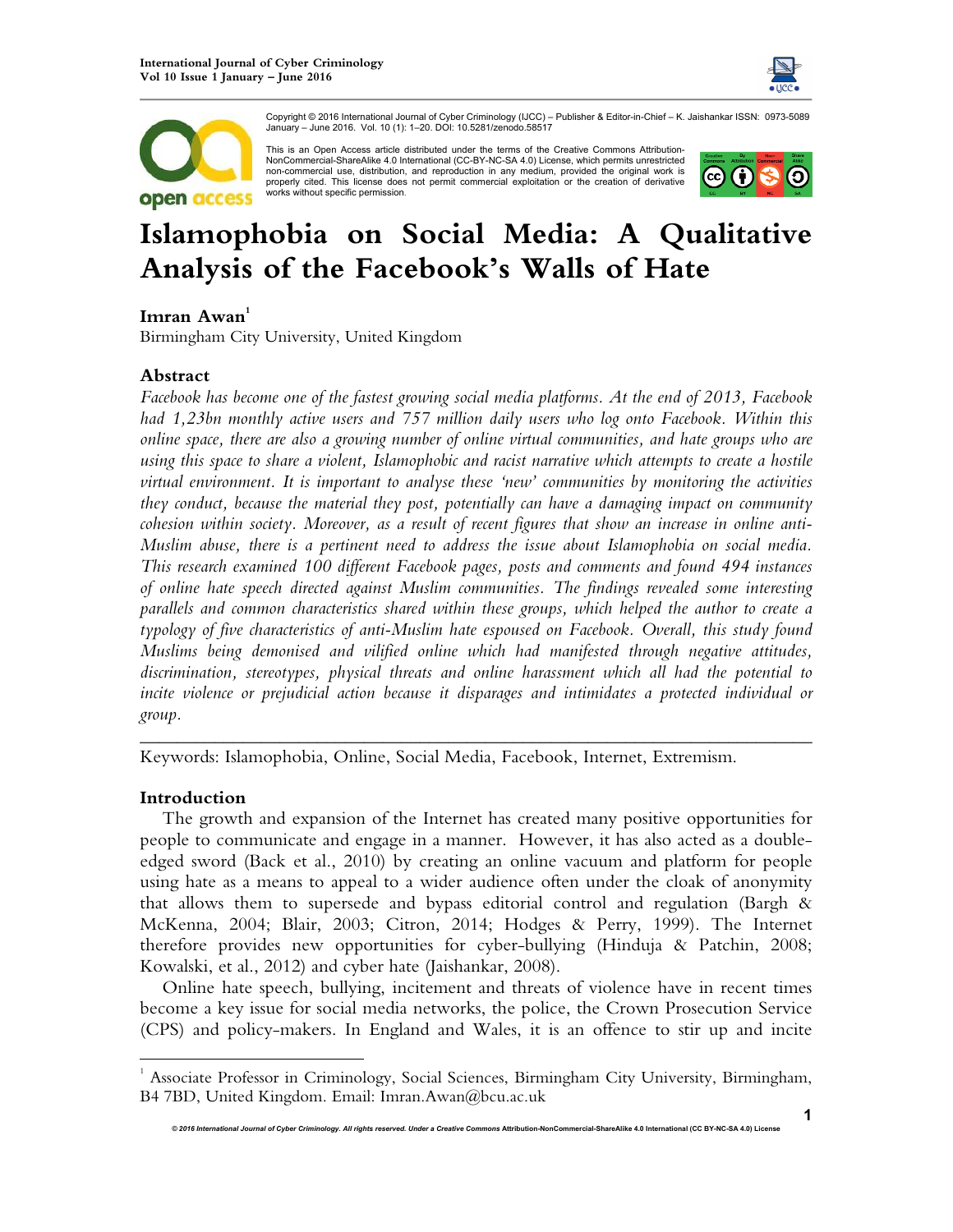



Copyright © 2016 International Journal of Cyber Criminology (IJCC) – Publisher & Editor-in-Chief – K. Jaishankar ISSN: 0973-5089 January – June 2016. Vol. 10 (1): 1–20. DOI: 10.5281/zenodo.58517

This is an Open Access article distributed under the terms of the Creative Commons Attribution-NonCommercial-ShareAlike 4.0 International (CC-BY-NC-SA 4.0) License, which permits unrestricted non-commercial use, distribution, and reproduction in any medium, provided the original work is properly cited. This license does not permit commercial exploitation or the creation of derivative works without specific permission.



# **Islamophobia on Social Media: A Qualitative Analysis of the Facebook's Walls of Hate**

## **Imran Awan<sup>1</sup>**

Birmingham City University, United Kingdom

## **Abstract**

*Facebook has become one of the fastest growing social media platforms. At the end of 2013, Facebook had 1,23bn monthly active users and 757 million daily users who log onto Facebook. Within this online space, there are also a growing number of online virtual communities, and hate groups who are using this space to share a violent, Islamophobic and racist narrative which attempts to create a hostile virtual environment. It is important to analyse these 'new' communities by monitoring the activities they conduct, because the material they post, potentially can have a damaging impact on community cohesion within society. Moreover, as a result of recent figures that show an increase in online anti-Muslim abuse, there is a pertinent need to address the issue about Islamophobia on social media. This research examined 100 different Facebook pages, posts and comments and found 494 instances of online hate speech directed against Muslim communities. The findings revealed some interesting parallels and common characteristics shared within these groups, which helped the author to create a typology of five characteristics of anti-Muslim hate espoused on Facebook. Overall, this study found Muslims being demonised and vilified online which had manifested through negative attitudes, discrimination, stereotypes, physical threats and online harassment which all had the potential to incite violence or prejudicial action because it disparages and intimidates a protected individual or group.* 

Keywords: Islamophobia, Online, Social Media, Facebook, Internet, Extremism.

## **Introduction**

 $\overline{a}$ 

The growth and expansion of the Internet has created many positive opportunities for people to communicate and engage in a manner. However, it has also acted as a doubleedged sword (Back et al., 2010) by creating an online vacuum and platform for people using hate as a means to appeal to a wider audience often under the cloak of anonymity that allows them to supersede and bypass editorial control and regulation (Bargh & McKenna, 2004; Blair, 2003; Citron, 2014; Hodges & Perry, 1999). The Internet therefore provides new opportunities for cyber-bullying (Hinduja & Patchin, 2008; Kowalski, et al., 2012) and cyber hate (Jaishankar, 2008).

*\_\_\_\_\_\_\_\_\_\_\_\_\_\_\_\_\_\_\_\_\_\_\_\_\_\_\_\_\_\_\_\_\_\_\_\_\_\_\_\_\_\_\_\_\_\_\_\_\_\_\_\_\_\_\_\_\_\_\_\_\_\_\_\_\_\_\_\_\_\_\_\_*

Online hate speech, bullying, incitement and threats of violence have in recent times become a key issue for social media networks, the police, the Crown Prosecution Service (CPS) and policy-makers. In England and Wales, it is an offence to stir up and incite

<sup>&</sup>lt;sup>1</sup> Associate Professor in Criminology, Social Sciences, Birmingham City University, Birmingham, B4 7BD, United Kingdom. Email: Imran.Awan@bcu.ac.uk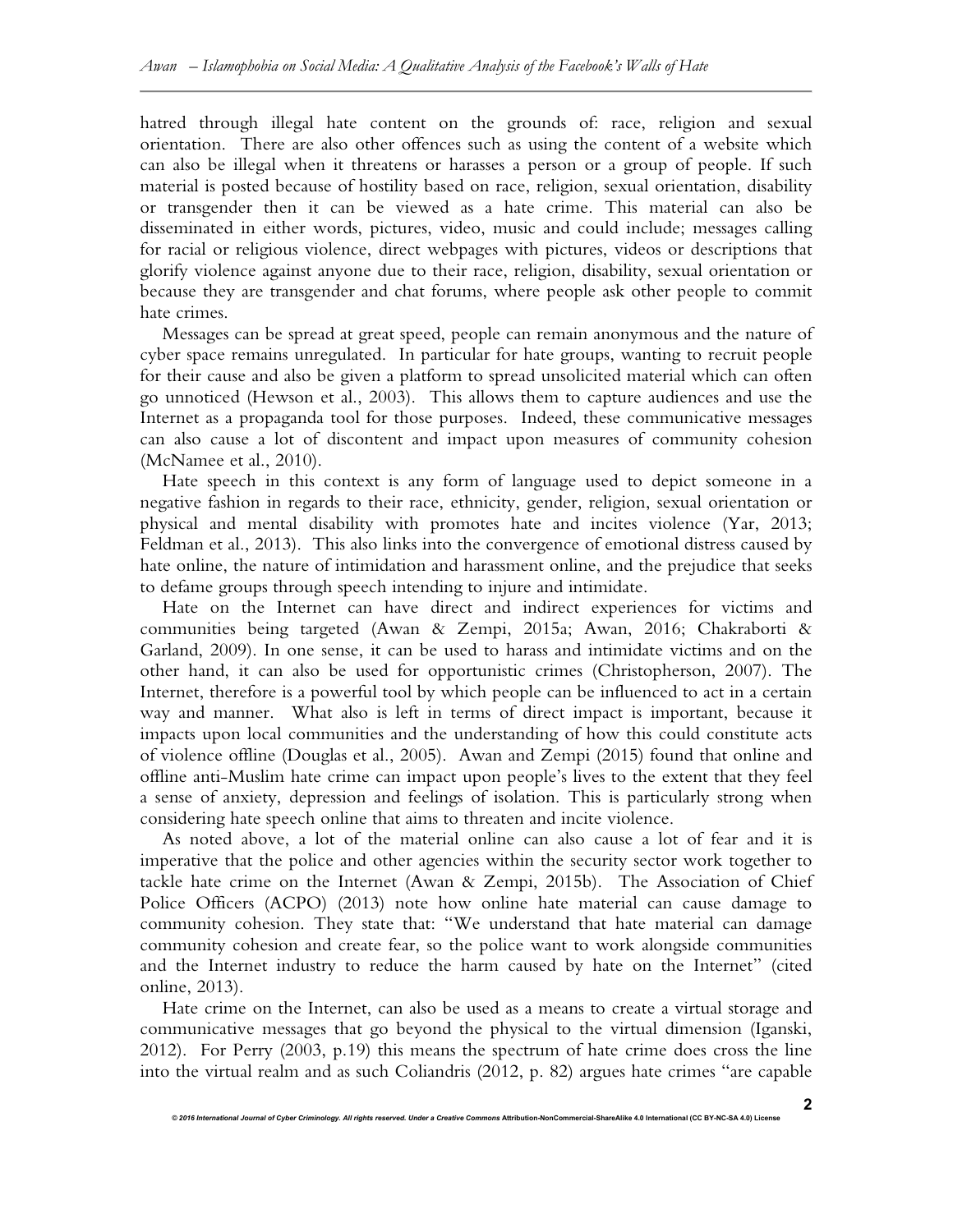hatred through illegal hate content on the grounds of: race, religion and sexual orientation. There are also other offences such as using the content of a website which can also be illegal when it threatens or harasses a person or a group of people. If such material is posted because of hostility based on race, religion, sexual orientation, disability or transgender then it can be viewed as a hate crime. This material can also be disseminated in either words, pictures, video, music and could include; messages calling for racial or religious violence, direct webpages with pictures, videos or descriptions that glorify violence against anyone due to their race, religion, disability, sexual orientation or because they are transgender and chat forums, where people ask other people to commit hate crimes.

Messages can be spread at great speed, people can remain anonymous and the nature of cyber space remains unregulated. In particular for hate groups, wanting to recruit people for their cause and also be given a platform to spread unsolicited material which can often go unnoticed (Hewson et al., 2003). This allows them to capture audiences and use the Internet as a propaganda tool for those purposes. Indeed, these communicative messages can also cause a lot of discontent and impact upon measures of community cohesion (McNamee et al., 2010).

Hate speech in this context is any form of language used to depict someone in a negative fashion in regards to their race, ethnicity, gender, religion, sexual orientation or physical and mental disability with promotes hate and incites violence (Yar, 2013; Feldman et al., 2013). This also links into the convergence of emotional distress caused by hate online, the nature of intimidation and harassment online, and the prejudice that seeks to defame groups through speech intending to injure and intimidate.

Hate on the Internet can have direct and indirect experiences for victims and communities being targeted (Awan & Zempi, 2015a; Awan, 2016; Chakraborti & Garland, 2009). In one sense, it can be used to harass and intimidate victims and on the other hand, it can also be used for opportunistic crimes (Christopherson, 2007). The Internet, therefore is a powerful tool by which people can be influenced to act in a certain way and manner. What also is left in terms of direct impact is important, because it impacts upon local communities and the understanding of how this could constitute acts of violence offline (Douglas et al., 2005). Awan and Zempi (2015) found that online and offline anti-Muslim hate crime can impact upon people's lives to the extent that they feel a sense of anxiety, depression and feelings of isolation. This is particularly strong when considering hate speech online that aims to threaten and incite violence.

As noted above, a lot of the material online can also cause a lot of fear and it is imperative that the police and other agencies within the security sector work together to tackle hate crime on the Internet (Awan & Zempi, 2015b). The Association of Chief Police Officers (ACPO) (2013) note how online hate material can cause damage to community cohesion. They state that: "We understand that hate material can damage community cohesion and create fear, so the police want to work alongside communities and the Internet industry to reduce the harm caused by hate on the Internet" (cited online, 2013).

Hate crime on the Internet, can also be used as a means to create a virtual storage and communicative messages that go beyond the physical to the virtual dimension (Iganski, 2012). For Perry (2003, p.19) this means the spectrum of hate crime does cross the line into the virtual realm and as such Coliandris (2012, p. 82) argues hate crimes "are capable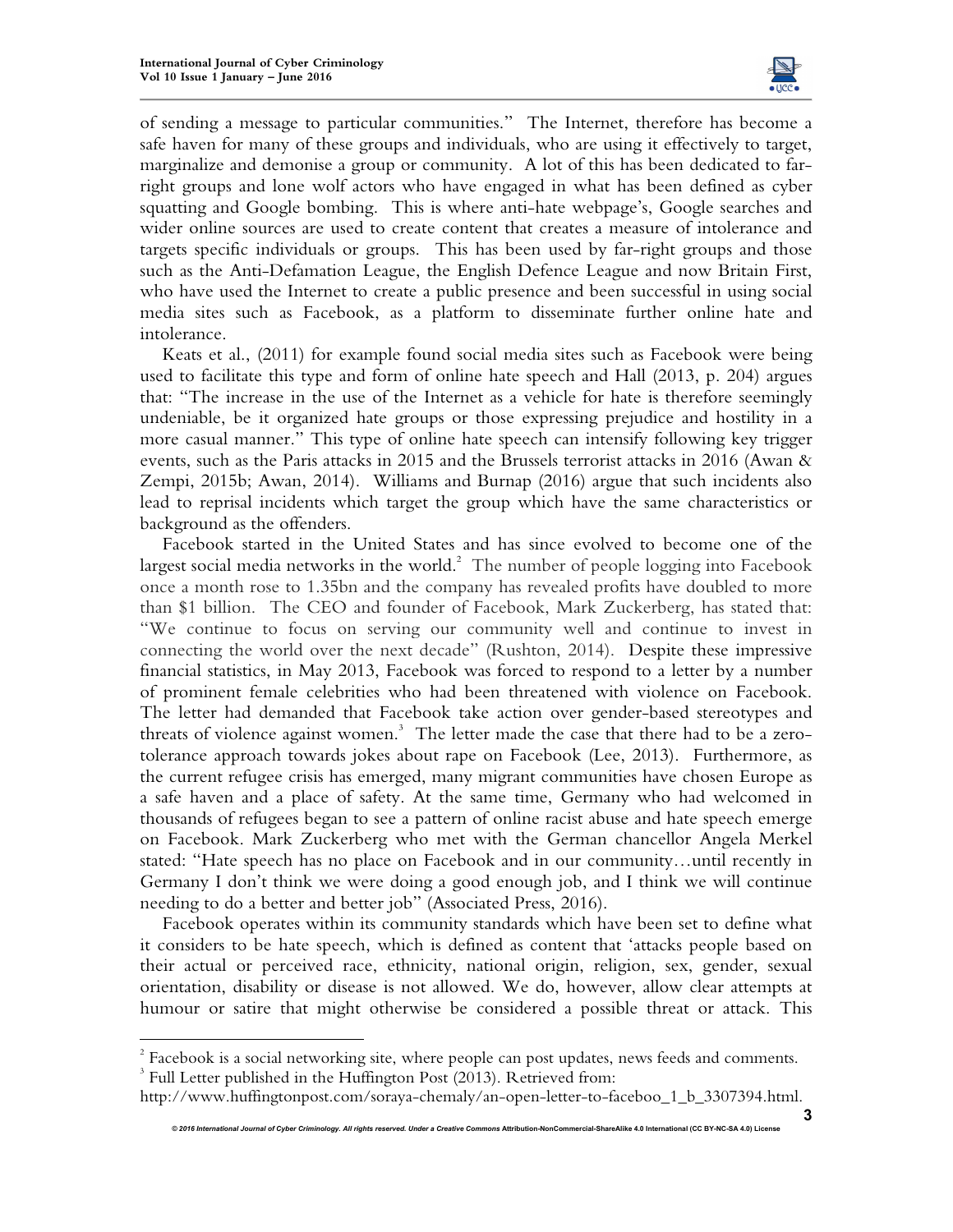$\overline{a}$ 



of sending a message to particular communities." The Internet, therefore has become a safe haven for many of these groups and individuals, who are using it effectively to target, marginalize and demonise a group or community. A lot of this has been dedicated to farright groups and lone wolf actors who have engaged in what has been defined as cyber squatting and Google bombing. This is where anti-hate webpage's, Google searches and wider online sources are used to create content that creates a measure of intolerance and targets specific individuals or groups. This has been used by far-right groups and those such as the Anti-Defamation League, the English Defence League and now Britain First, who have used the Internet to create a public presence and been successful in using social media sites such as Facebook, as a platform to disseminate further online hate and intolerance.

Keats et al., (2011) for example found social media sites such as Facebook were being used to facilitate this type and form of online hate speech and Hall (2013, p. 204) argues that: "The increase in the use of the Internet as a vehicle for hate is therefore seemingly undeniable, be it organized hate groups or those expressing prejudice and hostility in a more casual manner." This type of online hate speech can intensify following key trigger events, such as the Paris attacks in 2015 and the Brussels terrorist attacks in 2016 (Awan & Zempi, 2015b; Awan, 2014). Williams and Burnap (2016) argue that such incidents also lead to reprisal incidents which target the group which have the same characteristics or background as the offenders.

Facebook started in the United States and has since evolved to become one of the largest social media networks in the world. $^2$  The number of people logging into Facebook once a month rose to 1.35bn and the company has revealed profits have doubled to more than \$1 billion. The CEO and founder of Facebook, Mark Zuckerberg, has stated that: "We continue to focus on serving our community well and continue to invest in connecting the world over the next decade" (Rushton, 2014). Despite these impressive financial statistics, in May 2013, Facebook was forced to respond to a letter by a number of prominent female celebrities who had been threatened with violence on Facebook. The letter had demanded that Facebook take action over gender-based stereotypes and threats of violence against women. $^3$  The letter made the case that there had to be a zerotolerance approach towards jokes about rape on Facebook (Lee, 2013). Furthermore, as the current refugee crisis has emerged, many migrant communities have chosen Europe as a safe haven and a place of safety. At the same time, Germany who had welcomed in thousands of refugees began to see a pattern of online racist abuse and hate speech emerge on Facebook. Mark Zuckerberg who met with the German chancellor Angela Merkel stated: "Hate speech has no place on Facebook and in our community…until recently in Germany I don't think we were doing a good enough job, and I think we will continue needing to do a better and better job" (Associated Press, 2016).

Facebook operates within its community standards which have been set to define what it considers to be hate speech, which is defined as content that 'attacks people based on their actual or perceived race, ethnicity, national origin, religion, sex, gender, sexual orientation, disability or disease is not allowed. We do, however, allow clear attempts at humour or satire that might otherwise be considered a possible threat or attack. This

 $2^2$  Facebook is a social networking site, where people can post updates, news feeds and comments. <sup>3</sup> Full Letter published in the Huffington Post (2013). Retrieved from:

http://www.huffingtonpost.com/soraya-chemaly/an-open-letter-to-faceboo\_1\_b\_3307394.html.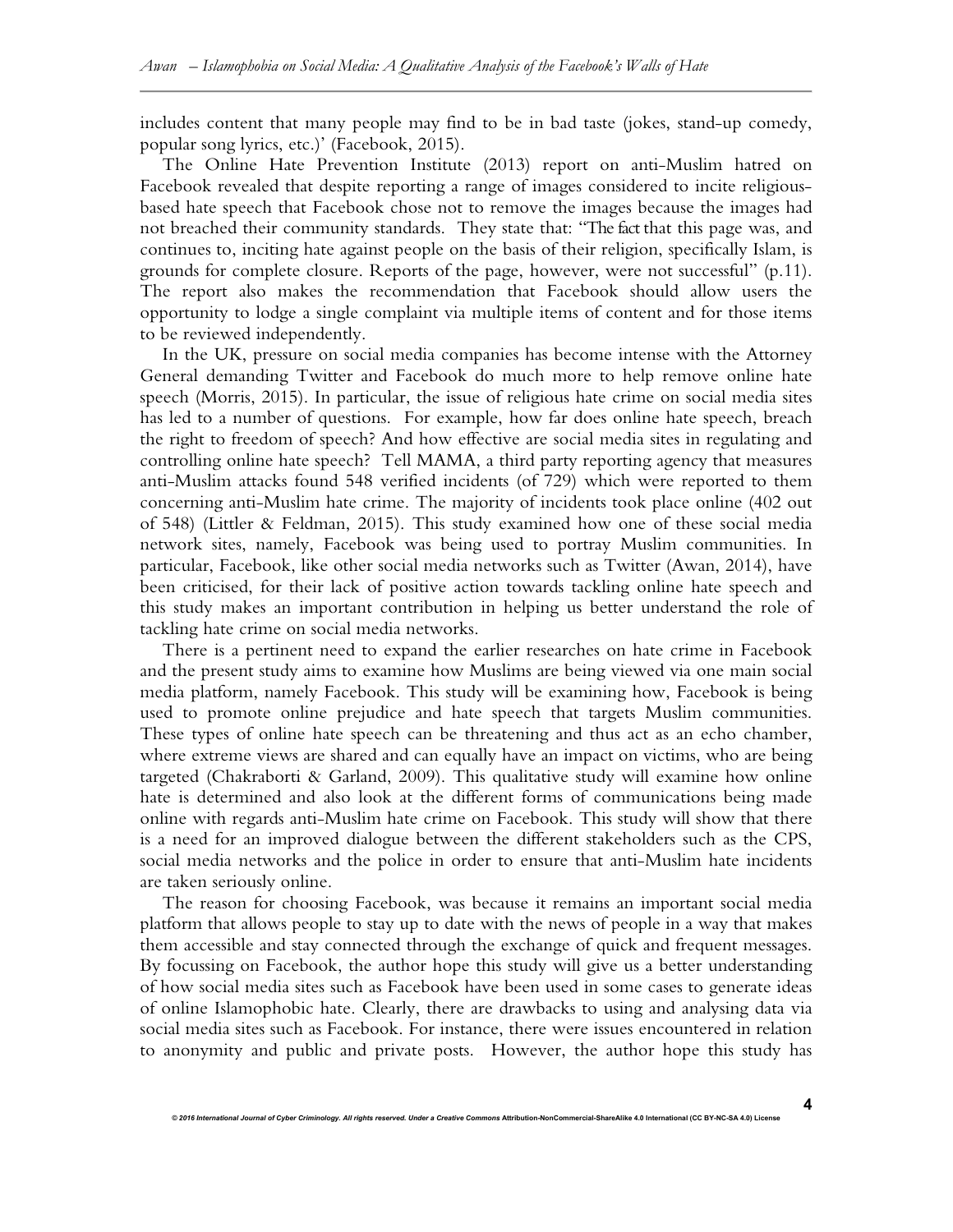includes content that many people may find to be in bad taste (jokes, stand-up comedy, popular song lyrics, etc.)' (Facebook, 2015).

The Online Hate Prevention Institute (2013) report on anti-Muslim hatred on Facebook revealed that despite reporting a range of images considered to incite religiousbased hate speech that Facebook chose not to remove the images because the images had not breached their community standards. They state that: "The fact that this page was, and continues to, inciting hate against people on the basis of their religion, specifically Islam, is grounds for complete closure. Reports of the page, however, were not successful" (p.11). The report also makes the recommendation that Facebook should allow users the opportunity to lodge a single complaint via multiple items of content and for those items to be reviewed independently.

In the UK, pressure on social media companies has become intense with the Attorney General demanding Twitter and Facebook do much more to help remove online hate speech (Morris, 2015). In particular, the issue of religious hate crime on social media sites has led to a number of questions. For example, how far does online hate speech, breach the right to freedom of speech? And how effective are social media sites in regulating and controlling online hate speech? Tell MAMA, a third party reporting agency that measures anti-Muslim attacks found 548 verified incidents (of 729) which were reported to them concerning anti-Muslim hate crime. The majority of incidents took place online (402 out of 548) (Littler & Feldman, 2015). This study examined how one of these social media network sites, namely, Facebook was being used to portray Muslim communities. In particular, Facebook, like other social media networks such as Twitter (Awan, 2014), have been criticised, for their lack of positive action towards tackling online hate speech and this study makes an important contribution in helping us better understand the role of tackling hate crime on social media networks.

There is a pertinent need to expand the earlier researches on hate crime in Facebook and the present study aims to examine how Muslims are being viewed via one main social media platform, namely Facebook. This study will be examining how, Facebook is being used to promote online prejudice and hate speech that targets Muslim communities. These types of online hate speech can be threatening and thus act as an echo chamber, where extreme views are shared and can equally have an impact on victims, who are being targeted (Chakraborti & Garland, 2009). This qualitative study will examine how online hate is determined and also look at the different forms of communications being made online with regards anti-Muslim hate crime on Facebook. This study will show that there is a need for an improved dialogue between the different stakeholders such as the CPS, social media networks and the police in order to ensure that anti-Muslim hate incidents are taken seriously online.

The reason for choosing Facebook, was because it remains an important social media platform that allows people to stay up to date with the news of people in a way that makes them accessible and stay connected through the exchange of quick and frequent messages. By focussing on Facebook, the author hope this study will give us a better understanding of how social media sites such as Facebook have been used in some cases to generate ideas of online Islamophobic hate. Clearly, there are drawbacks to using and analysing data via social media sites such as Facebook. For instance, there were issues encountered in relation to anonymity and public and private posts. However, the author hope this study has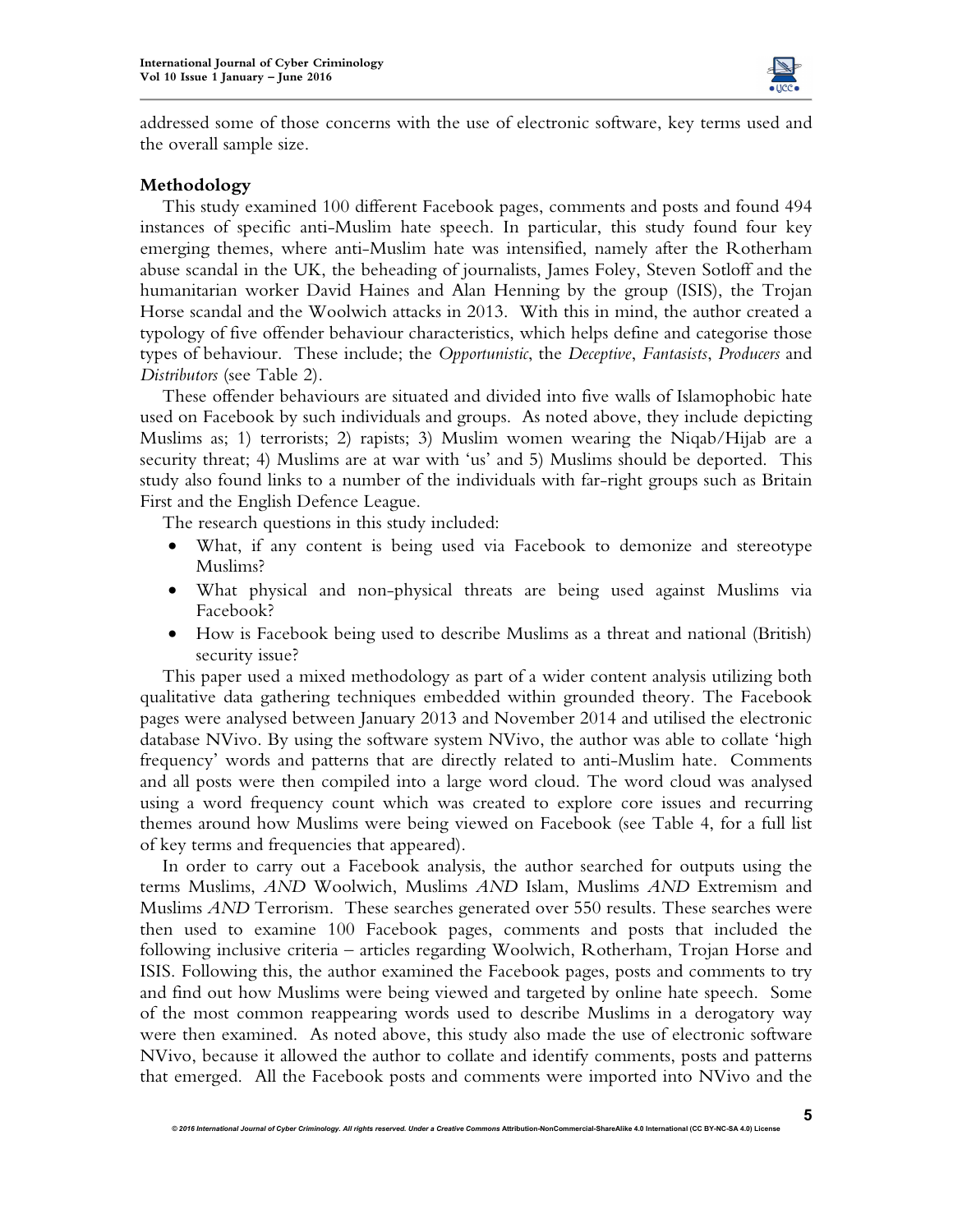

addressed some of those concerns with the use of electronic software, key terms used and the overall sample size.

## **Methodology**

This study examined 100 different Facebook pages, comments and posts and found 494 instances of specific anti-Muslim hate speech. In particular, this study found four key emerging themes, where anti-Muslim hate was intensified, namely after the Rotherham abuse scandal in the UK, the beheading of journalists, James Foley, Steven Sotloff and the humanitarian worker David Haines and Alan Henning by the group (ISIS), the Trojan Horse scandal and the Woolwich attacks in 2013. With this in mind, the author created a typology of five offender behaviour characteristics, which helps define and categorise those types of behaviour. These include; the *Opportunistic*, the *Deceptive*, *Fantasists*, *Producers* and *Distributors* (see Table 2).

These offender behaviours are situated and divided into five walls of Islamophobic hate used on Facebook by such individuals and groups. As noted above, they include depicting Muslims as; 1) terrorists; 2) rapists; 3) Muslim women wearing the Niqab/Hijab are a security threat; 4) Muslims are at war with 'us' and 5) Muslims should be deported. This study also found links to a number of the individuals with far-right groups such as Britain First and the English Defence League.

The research questions in this study included:

- What, if any content is being used via Facebook to demonize and stereotype Muslims?
- What physical and non-physical threats are being used against Muslims via Facebook?
- How is Facebook being used to describe Muslims as a threat and national (British) security issue?

This paper used a mixed methodology as part of a wider content analysis utilizing both qualitative data gathering techniques embedded within grounded theory. The Facebook pages were analysed between January 2013 and November 2014 and utilised the electronic database NVivo. By using the software system NVivo, the author was able to collate 'high frequency' words and patterns that are directly related to anti-Muslim hate. Comments and all posts were then compiled into a large word cloud. The word cloud was analysed using a word frequency count which was created to explore core issues and recurring themes around how Muslims were being viewed on Facebook (see Table 4, for a full list of key terms and frequencies that appeared).

In order to carry out a Facebook analysis, the author searched for outputs using the terms Muslims, *AND* Woolwich, Muslims *AND* Islam, Muslims *AND* Extremism and Muslims *AND* Terrorism. These searches generated over 550 results. These searches were then used to examine 100 Facebook pages, comments and posts that included the following inclusive criteria – articles regarding Woolwich, Rotherham, Trojan Horse and ISIS. Following this, the author examined the Facebook pages, posts and comments to try and find out how Muslims were being viewed and targeted by online hate speech. Some of the most common reappearing words used to describe Muslims in a derogatory way were then examined. As noted above, this study also made the use of electronic software NVivo, because it allowed the author to collate and identify comments, posts and patterns that emerged. All the Facebook posts and comments were imported into NVivo and the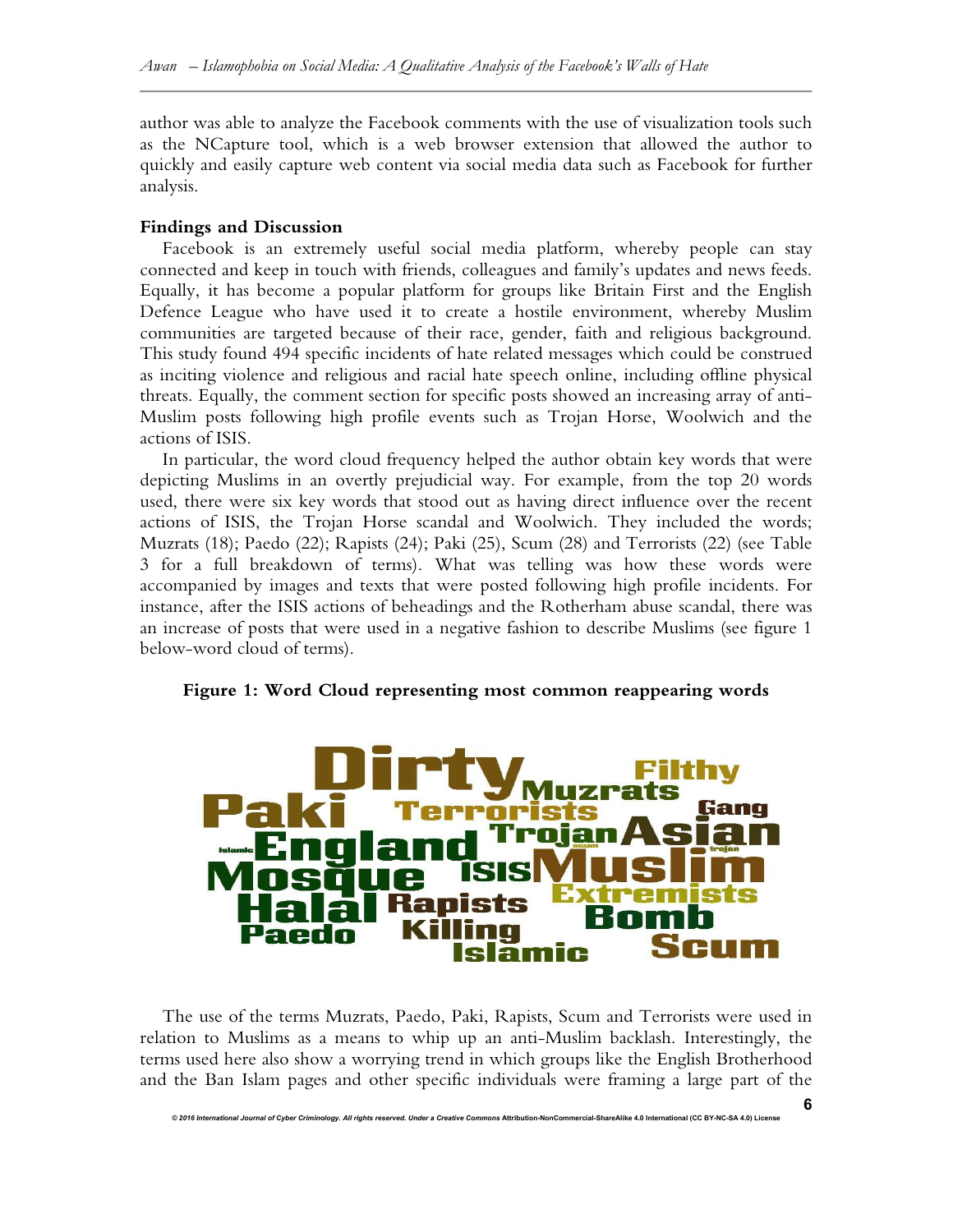author was able to analyze the Facebook comments with the use of visualization tools such as the NCapture tool, which is a web browser extension that allowed the author to quickly and easily capture web content via social media data such as Facebook for further analysis.

## **Findings and Discussion**

Facebook is an extremely useful social media platform, whereby people can stay connected and keep in touch with friends, colleagues and family's updates and news feeds. Equally, it has become a popular platform for groups like Britain First and the English Defence League who have used it to create a hostile environment, whereby Muslim communities are targeted because of their race, gender, faith and religious background. This study found 494 specific incidents of hate related messages which could be construed as inciting violence and religious and racial hate speech online, including offline physical threats. Equally, the comment section for specific posts showed an increasing array of anti-Muslim posts following high profile events such as Trojan Horse, Woolwich and the actions of ISIS.

In particular, the word cloud frequency helped the author obtain key words that were depicting Muslims in an overtly prejudicial way. For example, from the top 20 words used, there were six key words that stood out as having direct influence over the recent actions of ISIS, the Trojan Horse scandal and Woolwich. They included the words; Muzrats (18); Paedo (22); Rapists (24); Paki (25), Scum (28) and Terrorists (22) (see Table 3 for a full breakdown of terms). What was telling was how these words were accompanied by images and texts that were posted following high profile incidents. For instance, after the ISIS actions of beheadings and the Rotherham abuse scandal, there was an increase of posts that were used in a negative fashion to describe Muslims (see figure 1 below-word cloud of terms).





The use of the terms Muzrats, Paedo, Paki, Rapists, Scum and Terrorists were used in relation to Muslims as a means to whip up an anti-Muslim backlash. Interestingly, the terms used here also show a worrying trend in which groups like the English Brotherhood and the Ban Islam pages and other specific individuals were framing a large part of the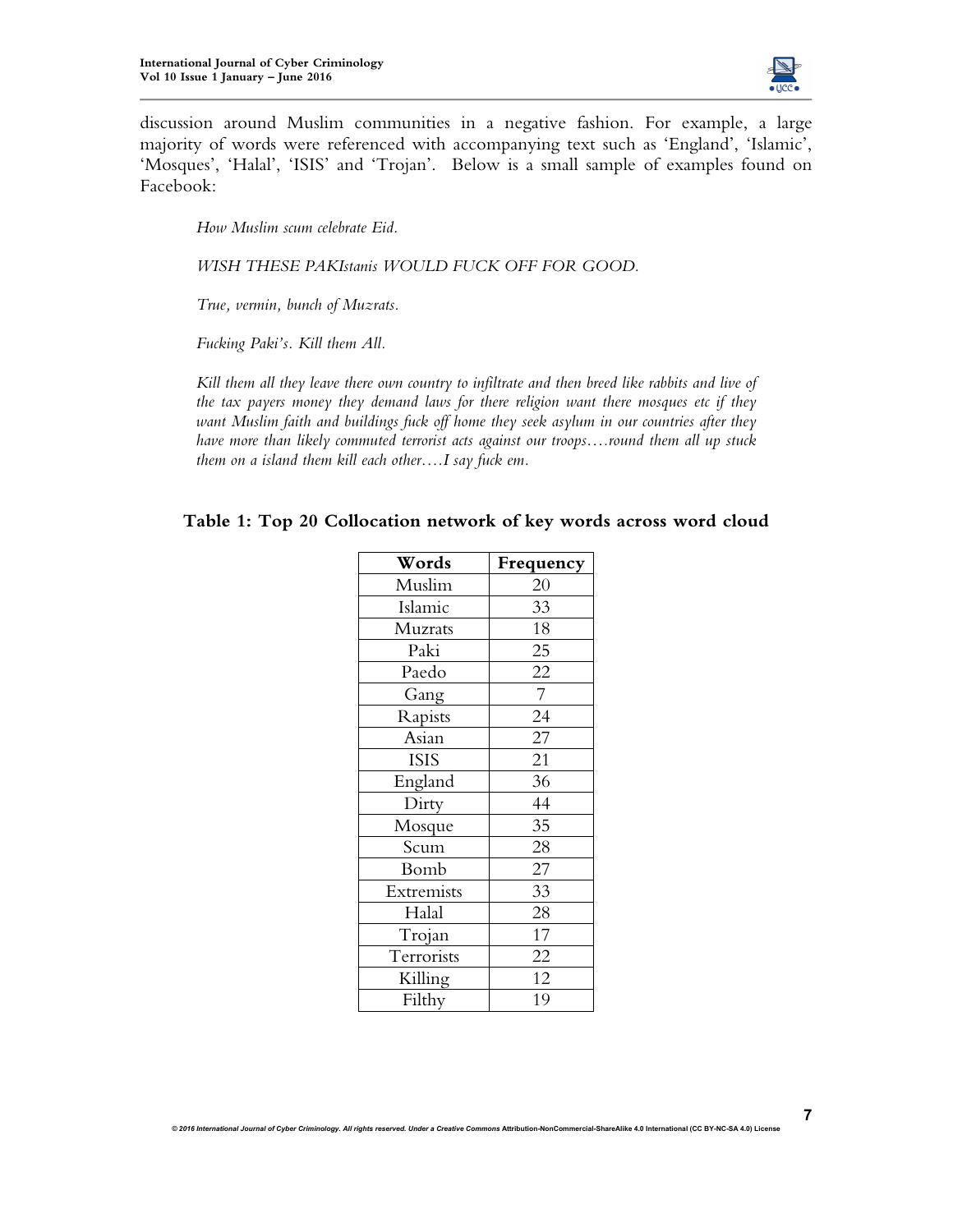

discussion around Muslim communities in a negative fashion. For example, a large majority of words were referenced with accompanying text such as 'England', 'Islamic', 'Mosques', 'Halal', 'ISIS' and 'Trojan'. Below is a small sample of examples found on Facebook:

*How Muslim scum celebrate Eid.* 

*WISH THESE PAKIstanis WOULD FUCK OFF FOR GOOD.* 

*True, vermin, bunch of Muzrats.* 

*Fucking Paki's. Kill them All.* 

*Kill them all they leave there own country to infiltrate and then breed like rabbits and live of the tax payers money they demand laws for there religion want there mosques etc if they want Muslim faith and buildings fuck off home they seek asylum in our countries after they have more than likely commuted terrorist acts against our troops….round them all up stuck them on a island them kill each other….I say fuck em.* 

## **Table 1: Top 20 Collocation network of key words across word cloud**

| Words       | Frequency      |
|-------------|----------------|
| Muslim      | 20             |
| Islamic     | 33             |
| Muzrats     | 18             |
| Paki        | 25             |
| Paedo       | 22             |
| Gang        | $\overline{7}$ |
| Rapists     | 24             |
| Asian       | 27             |
| <b>ISIS</b> | 21             |
| England     | 36             |
| Dirty       | 44             |
| Mosque      | 35             |
| Scum        | 28             |
| Bomb        | 27             |
| Extremists  | 33             |
| Halal       | 28             |
| Trojan      | 17             |
| Terrorists  | 22             |
| Killing     | 12             |
| Filthy      | 19             |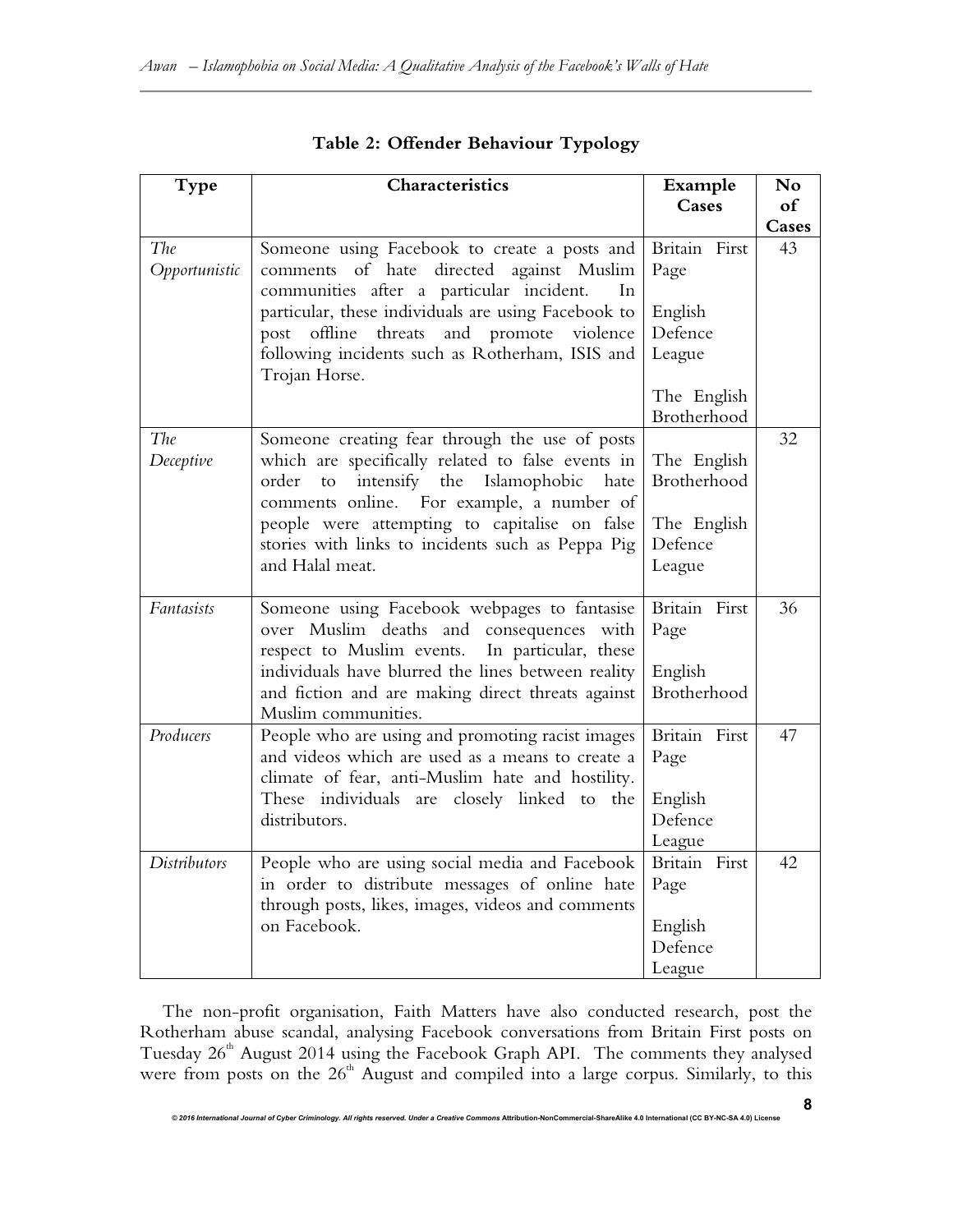| Type                 | Characteristics                                                                                                                                                                                                                                                                                                                | Example                                                        | No    |
|----------------------|--------------------------------------------------------------------------------------------------------------------------------------------------------------------------------------------------------------------------------------------------------------------------------------------------------------------------------|----------------------------------------------------------------|-------|
|                      |                                                                                                                                                                                                                                                                                                                                | <b>Cases</b>                                                   | of    |
|                      |                                                                                                                                                                                                                                                                                                                                |                                                                | Cases |
| The<br>Opportunistic | Someone using Facebook to create a posts and<br>comments of hate directed against Muslim<br>communities after a particular incident.<br>In                                                                                                                                                                                     | Britain First<br>Page                                          | 43    |
|                      | particular, these individuals are using Facebook to<br>post offline threats and promote violence<br>following incidents such as Rotherham, ISIS and                                                                                                                                                                            | English<br>Defence<br>League                                   |       |
|                      | Trojan Horse.                                                                                                                                                                                                                                                                                                                  | The English<br>Brotherhood                                     |       |
| The<br>Deceptive     | Someone creating fear through the use of posts<br>which are specifically related to false events in<br>intensify the Islamophobic<br>order<br>to<br>hate<br>comments online. For example, a number of<br>people were attempting to capitalise on false<br>stories with links to incidents such as Peppa Pig<br>and Halal meat. | The English<br>Brotherhood<br>The English<br>Defence<br>League | 32    |
| Fantasists           | Someone using Facebook webpages to fantasise<br>over Muslim deaths and consequences with<br>respect to Muslim events.<br>In particular, these<br>individuals have blurred the lines between reality<br>and fiction and are making direct threats against<br>Muslim communities.                                                | Britain First<br>Page<br>English<br>Brotherhood                | 36    |
| Producers            | People who are using and promoting racist images<br>and videos which are used as a means to create a<br>climate of fear, anti-Muslim hate and hostility.<br>These individuals are closely linked to the<br>distributors.                                                                                                       | Britain First<br>Page<br>English<br>Defence<br>League          | 47    |
| Distributors         | People who are using social media and Facebook<br>in order to distribute messages of online hate<br>through posts, likes, images, videos and comments<br>on Facebook.                                                                                                                                                          | Britain First<br>Page<br>English<br>Defence<br>League          | 42    |

# **Table 2: Offender Behaviour Typology**

The non-profit organisation, Faith Matters have also conducted research, post the Rotherham abuse scandal, analysing Facebook conversations from Britain First posts on Tuesday  $26<sup>th</sup>$  August 2014 using the Facebook Graph API. The comments they analysed were from posts on the 26<sup>th</sup> August and compiled into a large corpus. Similarly, to this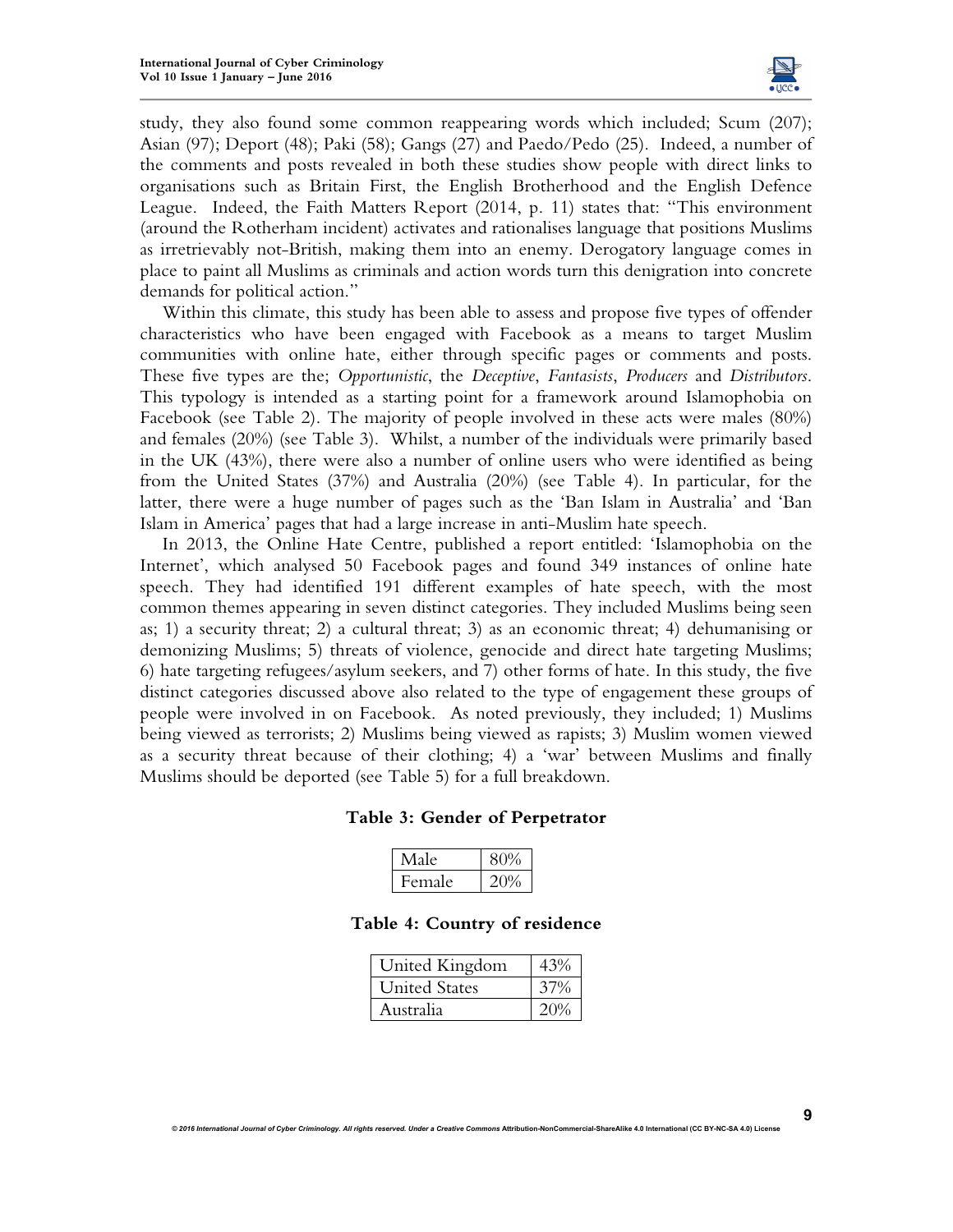

**9**

study, they also found some common reappearing words which included; Scum (207); Asian (97); Deport (48); Paki (58); Gangs (27) and Paedo/Pedo (25). Indeed, a number of the comments and posts revealed in both these studies show people with direct links to organisations such as Britain First, the English Brotherhood and the English Defence League. Indeed, the Faith Matters Report (2014, p. 11) states that: "This environment (around the Rotherham incident) activates and rationalises language that positions Muslims as irretrievably not-British, making them into an enemy. Derogatory language comes in place to paint all Muslims as criminals and action words turn this denigration into concrete demands for political action."

Within this climate, this study has been able to assess and propose five types of offender characteristics who have been engaged with Facebook as a means to target Muslim communities with online hate, either through specific pages or comments and posts. These five types are the; *Opportunistic*, the *Deceptive*, *Fantasists*, *Producers* and *Distributors*. This typology is intended as a starting point for a framework around Islamophobia on Facebook (see Table 2). The majority of people involved in these acts were males (80%) and females (20%) (see Table 3). Whilst, a number of the individuals were primarily based in the UK (43%), there were also a number of online users who were identified as being from the United States (37%) and Australia (20%) (see Table 4). In particular, for the latter, there were a huge number of pages such as the 'Ban Islam in Australia' and 'Ban Islam in America' pages that had a large increase in anti-Muslim hate speech.

In 2013, the Online Hate Centre, published a report entitled: 'Islamophobia on the Internet', which analysed 50 Facebook pages and found 349 instances of online hate speech. They had identified 191 different examples of hate speech, with the most common themes appearing in seven distinct categories. They included Muslims being seen as; 1) a security threat; 2) a cultural threat; 3) as an economic threat; 4) dehumanising or demonizing Muslims; 5) threats of violence, genocide and direct hate targeting Muslims; 6) hate targeting refugees/asylum seekers, and 7) other forms of hate. In this study, the five distinct categories discussed above also related to the type of engagement these groups of people were involved in on Facebook. As noted previously, they included; 1) Muslims being viewed as terrorists; 2) Muslims being viewed as rapists; 3) Muslim women viewed as a security threat because of their clothing; 4) a 'war' between Muslims and finally Muslims should be deported (see Table 5) for a full breakdown.

#### **Table 3: Gender of Perpetrator**

| Male   | 80% |
|--------|-----|
| Female |     |

## **Table 4: Country of residence**

| United Kingdom       |        |
|----------------------|--------|
| <b>United States</b> | 37%    |
| Australia            | $20\%$ |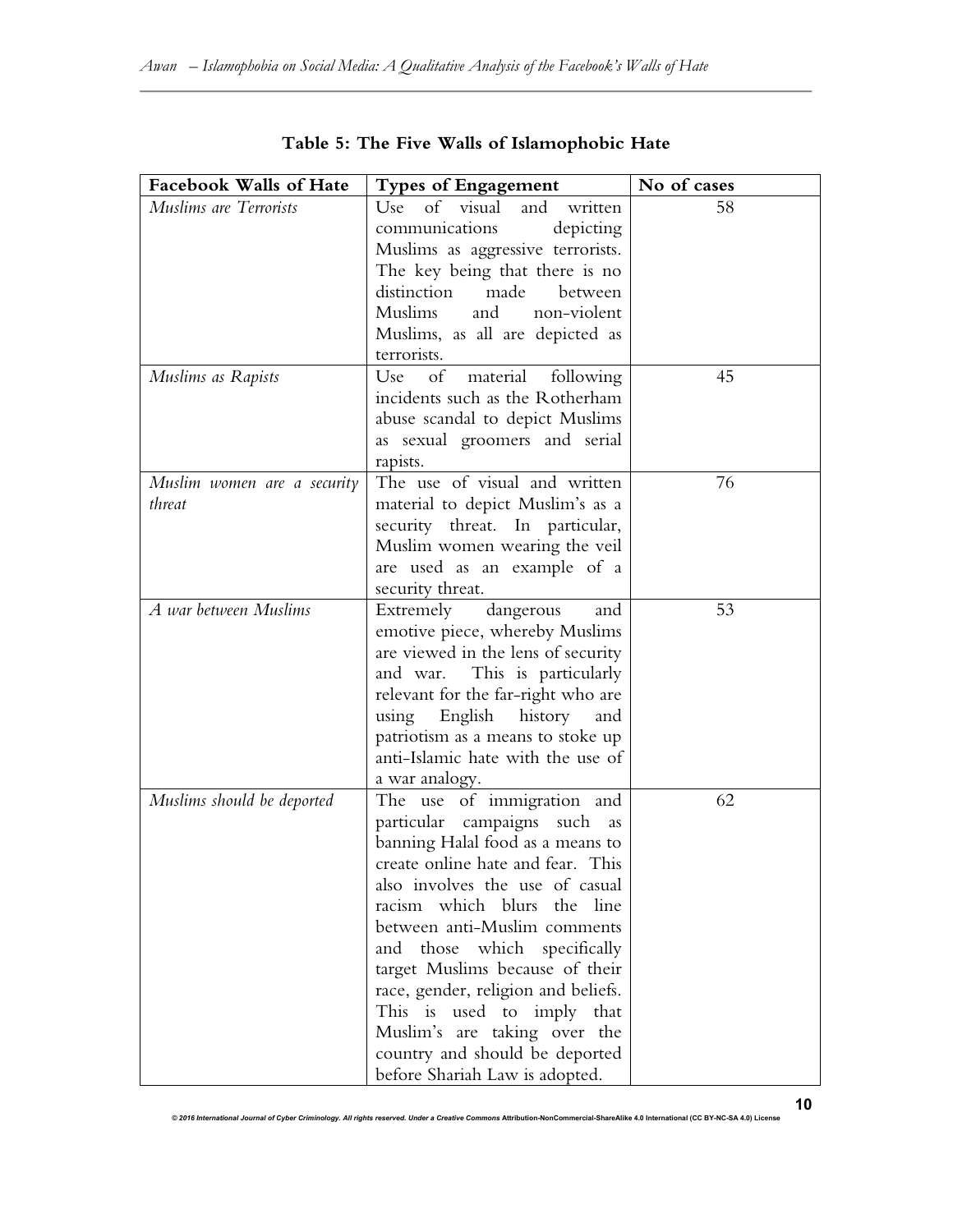| <b>Facebook Walls of Hate</b> | <b>Types of Engagement</b>            | No of cases |
|-------------------------------|---------------------------------------|-------------|
| Muslims are Terrorists        | of visual<br>and<br>Use<br>written    | 58          |
|                               | communications<br>depicting           |             |
|                               |                                       |             |
|                               | Muslims as aggressive terrorists.     |             |
|                               | The key being that there is no        |             |
|                               | distinction<br>made<br>between        |             |
|                               | Muslims<br>and non-violent            |             |
|                               | Muslims, as all are depicted as       |             |
|                               | terrorists.                           |             |
| Muslims as Rapists            | material<br>Use<br>of<br>following    | 45          |
|                               | incidents such as the Rotherham       |             |
|                               | abuse scandal to depict Muslims       |             |
|                               | as sexual groomers and serial         |             |
|                               | rapists.                              |             |
| Muslim women are a security   | The use of visual and written         | 76          |
| threat                        | material to depict Muslim's as a      |             |
|                               | security threat. In particular,       |             |
|                               | Muslim women wearing the veil         |             |
|                               | are used as an example of a           |             |
|                               | security threat.                      |             |
| A war between Muslims         | Extremely dangerous<br>and            | 53          |
|                               | emotive piece, whereby Muslims        |             |
|                               | are viewed in the lens of security    |             |
|                               | and war. This is particularly         |             |
|                               | relevant for the far-right who are    |             |
|                               | using English<br>history<br>and       |             |
|                               | patriotism as a means to stoke up     |             |
|                               | anti-Islamic hate with the use of     |             |
|                               | a war analogy.                        |             |
| Muslims should be deported    | The use of immigration and            | 62          |
|                               | particular<br>campaigns<br>such<br>as |             |
|                               | banning Halal food as a means to      |             |
|                               | create online hate and fear. This     |             |
|                               | also involves the use of casual       |             |
|                               | racism which blurs the line           |             |
|                               | between anti-Muslim comments          |             |
|                               | and those which specifically          |             |
|                               | target Muslims because of their       |             |
|                               | race, gender, religion and beliefs.   |             |
|                               | This is used to imply that            |             |
|                               | Muslim's are taking over the          |             |
|                               | country and should be deported        |             |
|                               | before Shariah Law is adopted.        |             |

|  |  |  |  |  |  | Table 5: The Five Walls of Islamophobic Hate |  |  |
|--|--|--|--|--|--|----------------------------------------------|--|--|
|--|--|--|--|--|--|----------------------------------------------|--|--|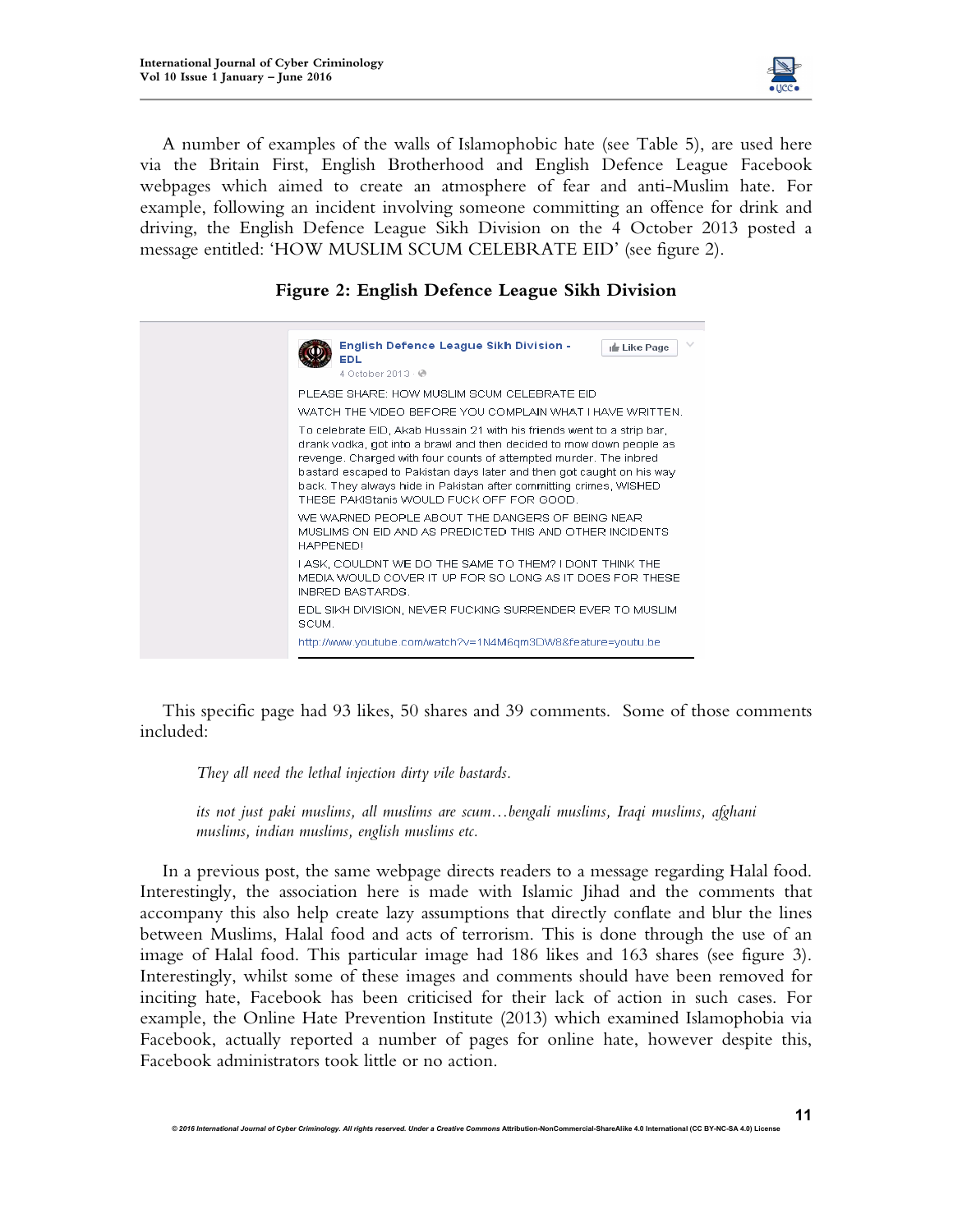

A number of examples of the walls of Islamophobic hate (see Table 5), are used here via the Britain First, English Brotherhood and English Defence League Facebook webpages which aimed to create an atmosphere of fear and anti-Muslim hate. For example, following an incident involving someone committing an offence for drink and driving, the English Defence League Sikh Division on the 4 October 2013 posted a message entitled: 'HOW MUSLIM SCUM CELEBRATE EID' (see figure 2).

# **Figure 2: English Defence League Sikh Division**



This specific page had 93 likes, 50 shares and 39 comments. Some of those comments included:

*They all need the lethal injection dirty vile bastards.* 

*its not just paki muslims, all muslims are scum…bengali muslims, Iraqi muslims, afghani muslims, indian muslims, english muslims etc.* 

In a previous post, the same webpage directs readers to a message regarding Halal food. Interestingly, the association here is made with Islamic Jihad and the comments that accompany this also help create lazy assumptions that directly conflate and blur the lines between Muslims, Halal food and acts of terrorism. This is done through the use of an image of Halal food. This particular image had 186 likes and 163 shares (see figure 3). Interestingly, whilst some of these images and comments should have been removed for inciting hate, Facebook has been criticised for their lack of action in such cases. For example, the Online Hate Prevention Institute (2013) which examined Islamophobia via Facebook, actually reported a number of pages for online hate, however despite this, Facebook administrators took little or no action.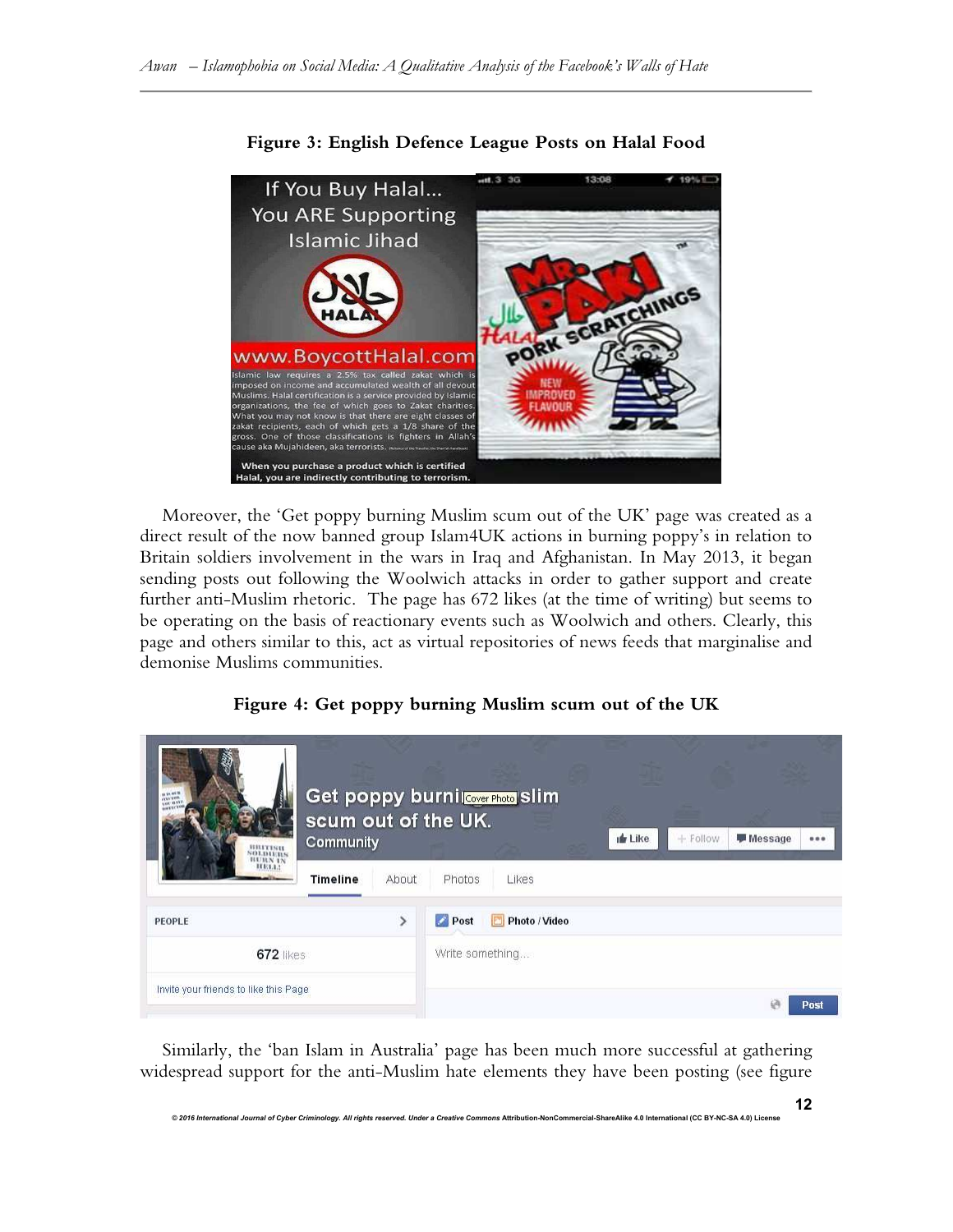

Moreover, the 'Get poppy burning Muslim scum out of the UK' page was created as a direct result of the now banned group Islam4UK actions in burning poppy's in relation to Britain soldiers involvement in the wars in Iraq and Afghanistan. In May 2013, it began sending posts out following the Woolwich attacks in order to gather support and create further anti-Muslim rhetoric. The page has 672 likes (at the time of writing) but seems to be operating on the basis of reactionary events such as Woolwich and others. Clearly, this page and others similar to this, act as virtual repositories of news feeds that marginalise and demonise Muslims communities.

|  |  |  |  |  | Figure 4: Get poppy burning Muslim scum out of the UK |
|--|--|--|--|--|-------------------------------------------------------|
|--|--|--|--|--|-------------------------------------------------------|

| <b>BRITISH</b><br><b>BURN IN</b><br>HE3.1.1 | scum out of the UK.<br>Community |       |                 | Get poppy burnil Cover Photo Slim | <b>In Like</b> | $+$ Follow | Message |      |
|---------------------------------------------|----------------------------------|-------|-----------------|-----------------------------------|----------------|------------|---------|------|
|                                             | <b>Timeline</b>                  | About | Photos          | Likes                             |                |            |         |      |
| PEOPLE                                      |                                  |       | Post            | Photo / Video                     |                |            |         |      |
| <b>672 likes</b>                            |                                  |       | Write something |                                   |                |            |         |      |
| Invite your friends to like this Page       |                                  |       |                 |                                   |                |            |         | Post |

Similarly, the 'ban Islam in Australia' page has been much more successful at gathering widespread support for the anti-Muslim hate elements they have been posting (see figure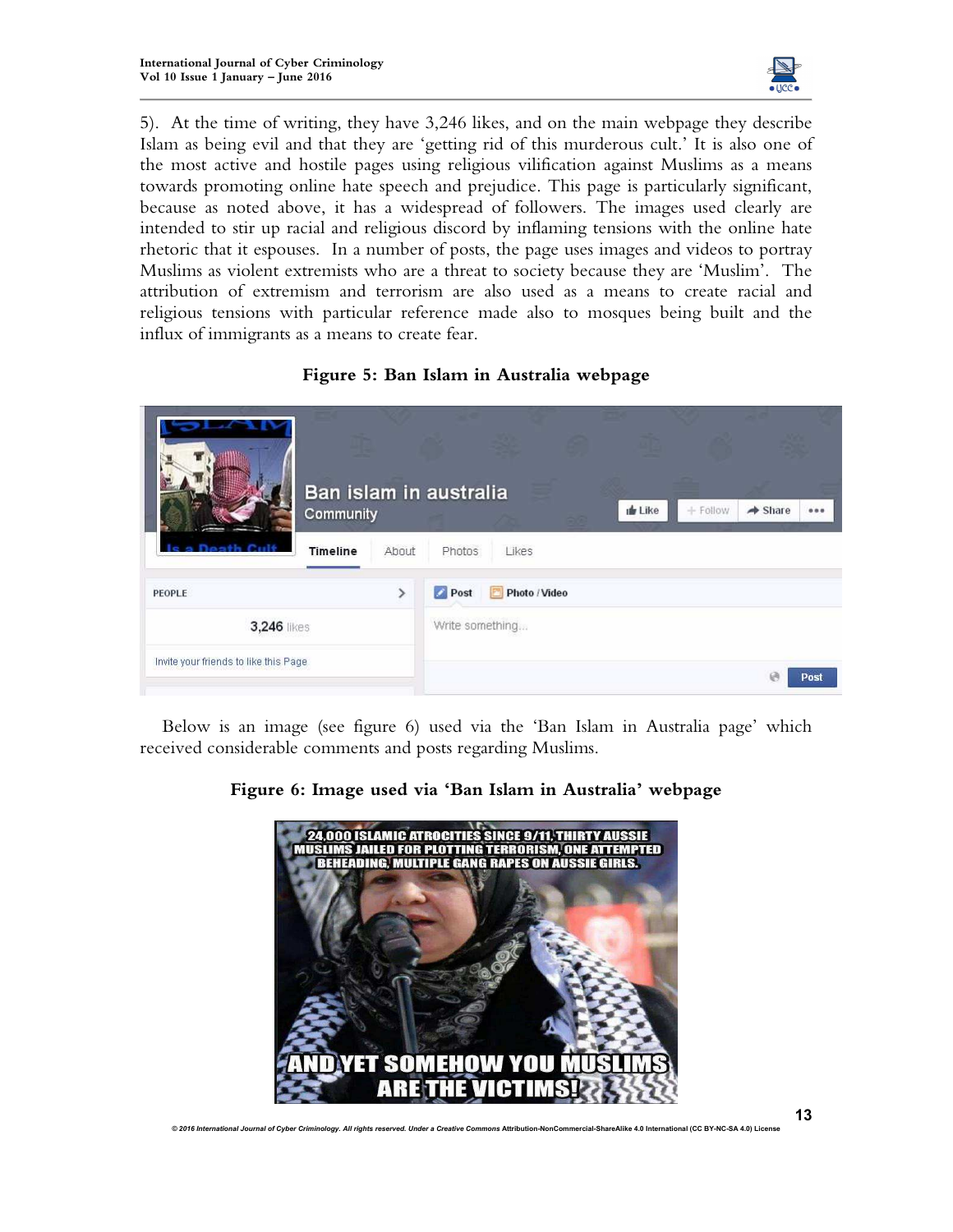

5). At the time of writing, they have 3,246 likes, and on the main webpage they describe Islam as being evil and that they are 'getting rid of this murderous cult.' It is also one of the most active and hostile pages using religious vilification against Muslims as a means towards promoting online hate speech and prejudice. This page is particularly significant, because as noted above, it has a widespread of followers. The images used clearly are intended to stir up racial and religious discord by inflaming tensions with the online hate rhetoric that it espouses. In a number of posts, the page uses images and videos to portray Muslims as violent extremists who are a threat to society because they are 'Muslim'. The attribution of extremism and terrorism are also used as a means to create racial and religious tensions with particular reference made also to mosques being built and the influx of immigrants as a means to create fear.



| eath Cult                                             | Ban islam in australia<br>Community<br><b>Timeline</b> | About           | Photos | Likes              | <b>de Like</b> | $+$ Follow | $\rightarrow$ Share |  |
|-------------------------------------------------------|--------------------------------------------------------|-----------------|--------|--------------------|----------------|------------|---------------------|--|
| PEOPLE                                                |                                                        |                 | Post   | Photo / Video<br>P |                |            |                     |  |
| 3,246 likes<br>Invite your friends to like this Page. |                                                        | Write something |        |                    |                |            | Post                |  |

Below is an image (see figure 6) used via the 'Ban Islam in Australia page' which received considerable comments and posts regarding Muslims.



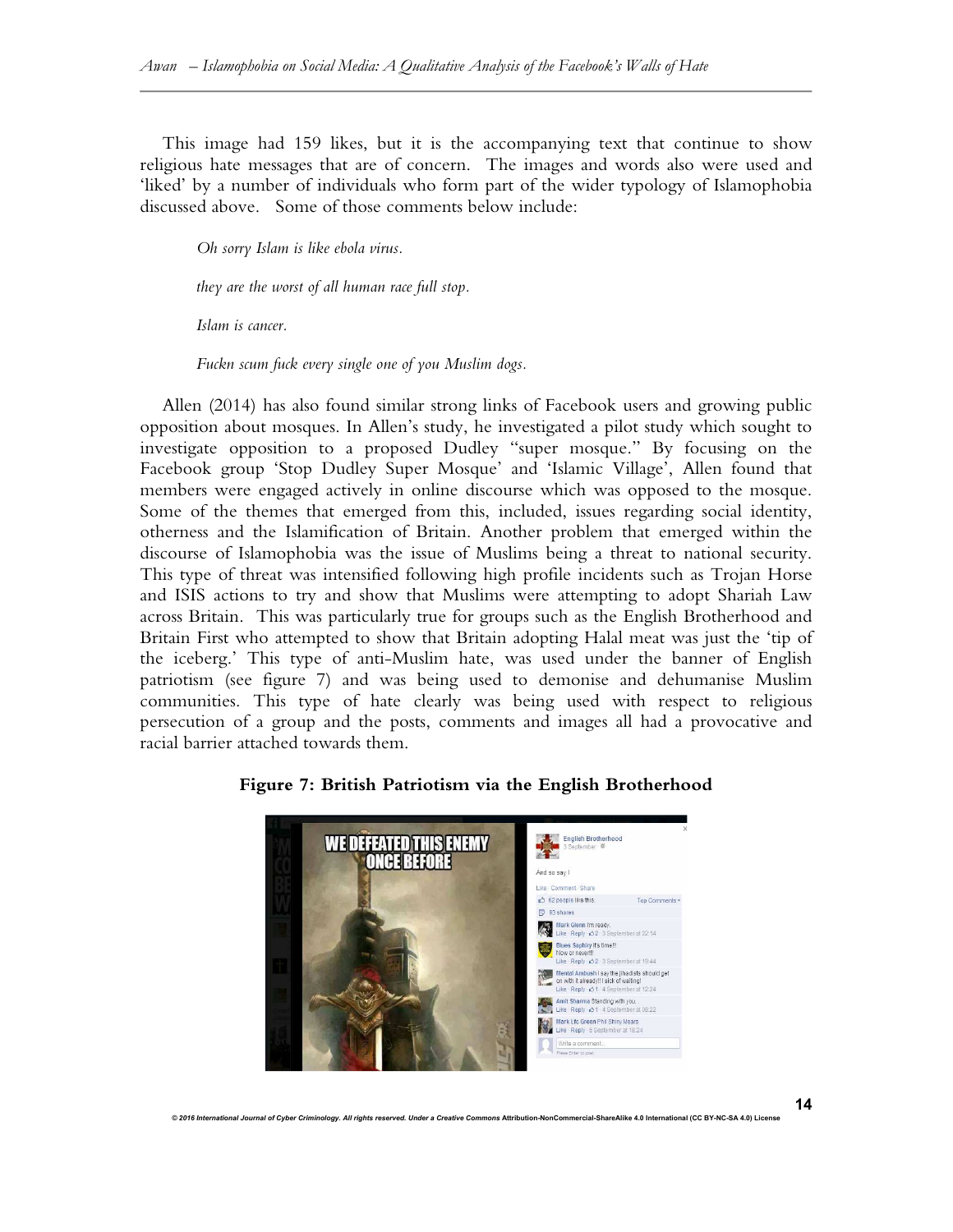This image had 159 likes, but it is the accompanying text that continue to show religious hate messages that are of concern. The images and words also were used and 'liked' by a number of individuals who form part of the wider typology of Islamophobia discussed above. Some of those comments below include:

*Oh sorry Islam is like ebola virus.* 

*they are the worst of all human race full stop.* 

*Islam is cancer.* 

*Fuckn scum fuck every single one of you Muslim dogs.* 

Allen (2014) has also found similar strong links of Facebook users and growing public opposition about mosques. In Allen's study, he investigated a pilot study which sought to investigate opposition to a proposed Dudley "super mosque." By focusing on the Facebook group 'Stop Dudley Super Mosque' and 'Islamic Village', Allen found that members were engaged actively in online discourse which was opposed to the mosque. Some of the themes that emerged from this, included, issues regarding social identity, otherness and the Islamification of Britain. Another problem that emerged within the discourse of Islamophobia was the issue of Muslims being a threat to national security. This type of threat was intensified following high profile incidents such as Trojan Horse and ISIS actions to try and show that Muslims were attempting to adopt Shariah Law across Britain. This was particularly true for groups such as the English Brotherhood and Britain First who attempted to show that Britain adopting Halal meat was just the 'tip of the iceberg.' This type of anti-Muslim hate, was used under the banner of English patriotism (see figure 7) and was being used to demonise and dehumanise Muslim communities. This type of hate clearly was being used with respect to religious persecution of a group and the posts, comments and images all had a provocative and racial barrier attached towards them.

## **Figure 7: British Patriotism via the English Brotherhood**

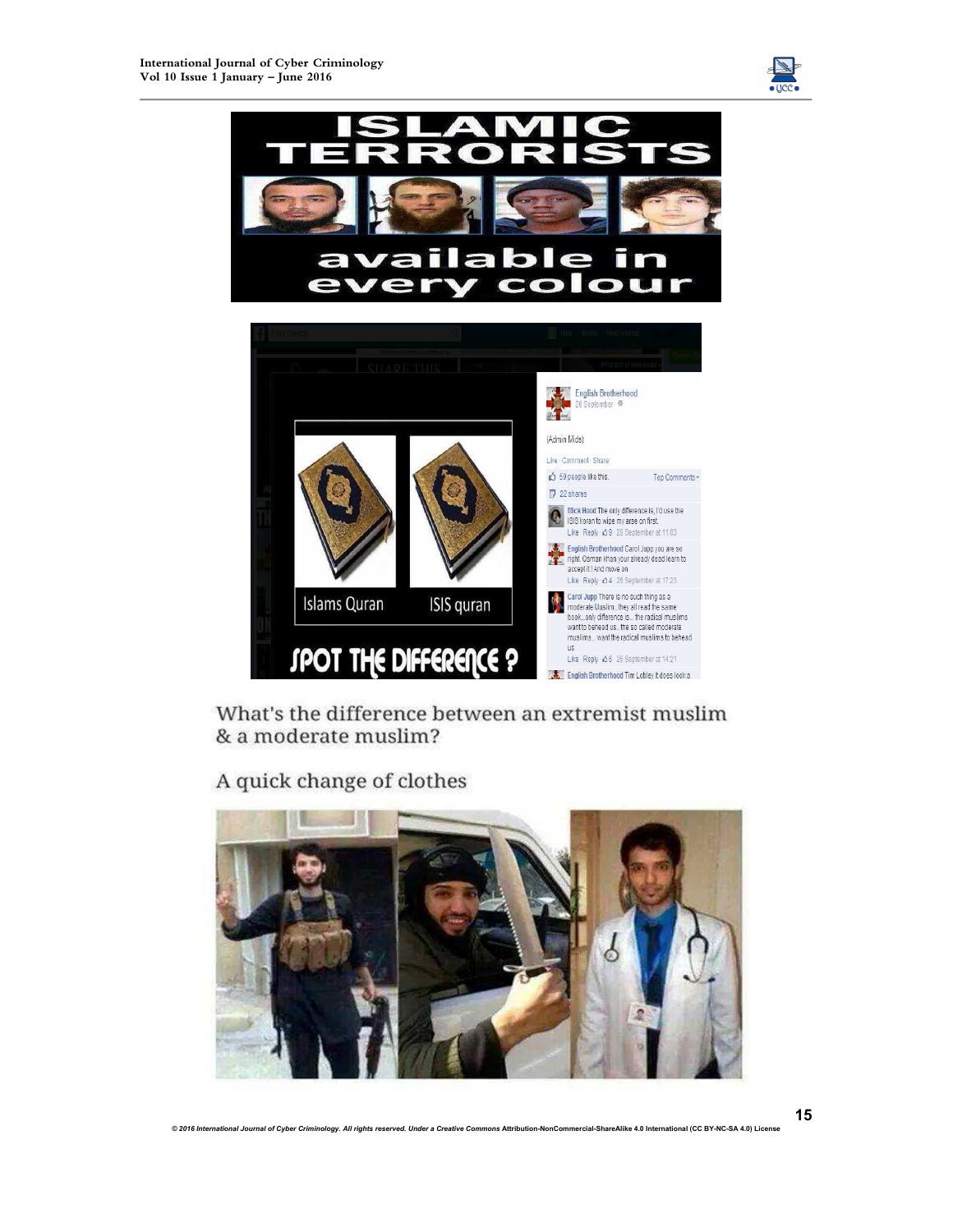



What's the difference between an extremist muslim & a moderate muslim?

A quick change of clothes

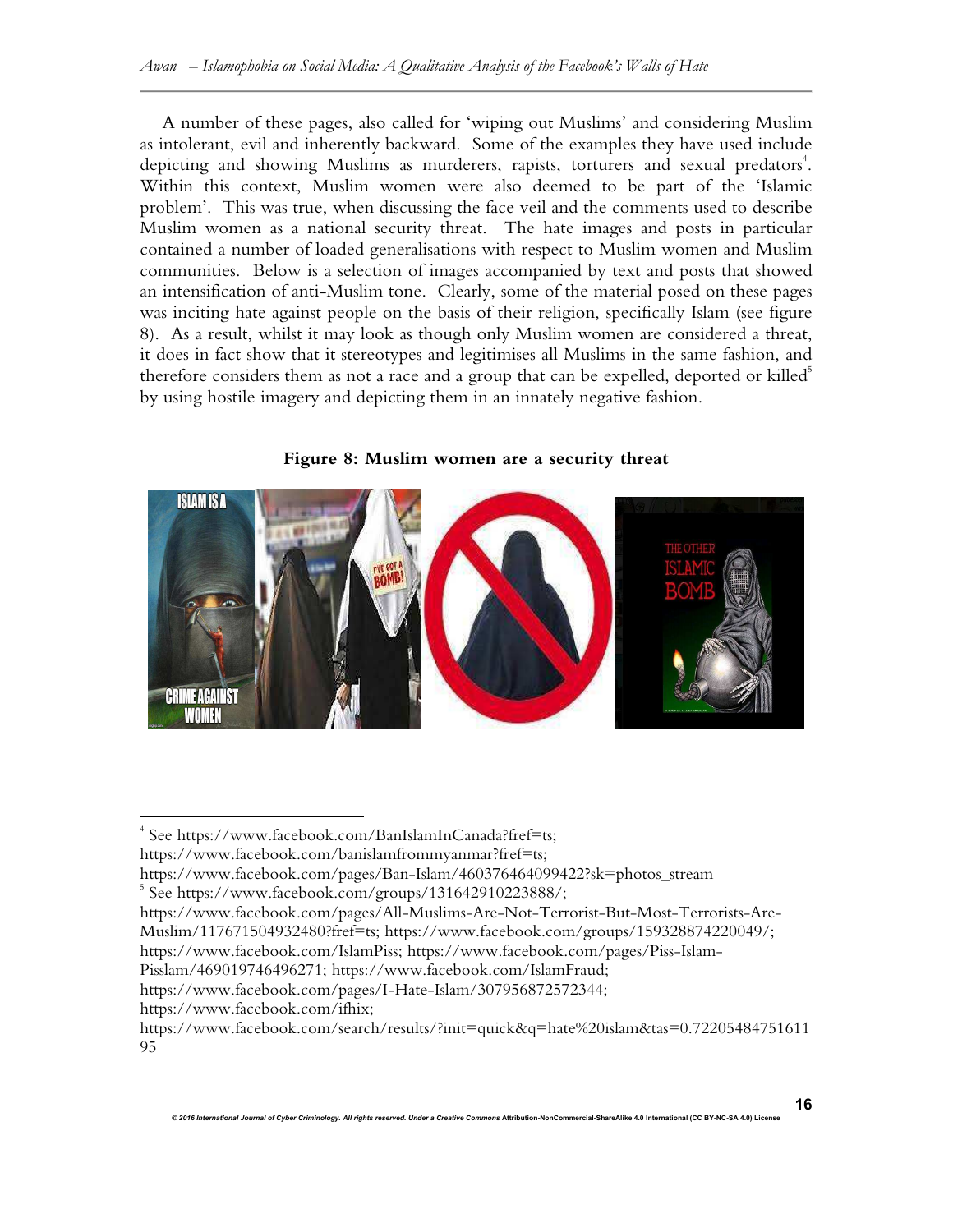A number of these pages, also called for 'wiping out Muslims' and considering Muslim as intolerant, evil and inherently backward. Some of the examples they have used include depicting and showing Muslims as murderers, rapists, torturers and sexual predators<sup>4</sup>. Within this context, Muslim women were also deemed to be part of the 'Islamic problem'. This was true, when discussing the face veil and the comments used to describe Muslim women as a national security threat. The hate images and posts in particular contained a number of loaded generalisations with respect to Muslim women and Muslim communities. Below is a selection of images accompanied by text and posts that showed an intensification of anti-Muslim tone. Clearly, some of the material posed on these pages was inciting hate against people on the basis of their religion, specifically Islam (see figure 8). As a result, whilst it may look as though only Muslim women are considered a threat, it does in fact show that it stereotypes and legitimises all Muslims in the same fashion, and therefore considers them as not a race and a group that can be expelled, deported or killed<sup>5</sup> by using hostile imagery and depicting them in an innately negative fashion.





 $\overline{a}$ 

<sup>4</sup> See https://www.facebook.com/BanIslamInCanada?fref=ts;

https://www.facebook.com/banislamfrommyanmar?fref=ts;

https://www.facebook.com/pages/Ban-Islam/460376464099422?sk=photos\_stream

<sup>5</sup> See https://www.facebook.com/groups/131642910223888/;

https://www.facebook.com/pages/All-Muslims-Are-Not-Terrorist-But-Most-Terrorists-Are-

Muslim/117671504932480?fref=ts; https://www.facebook.com/groups/159328874220049/;

https://www.facebook.com/IslamPiss; https://www.facebook.com/pages/Piss-Islam-

Pisslam/469019746496271; https://www.facebook.com/IslamFraud;

https://www.facebook.com/pages/I-Hate-Islam/307956872572344;

https://www.facebook.com/ifhix;

https://www.facebook.com/search/results/?init=quick&q=hate%20islam&tas=0.72205484751611 95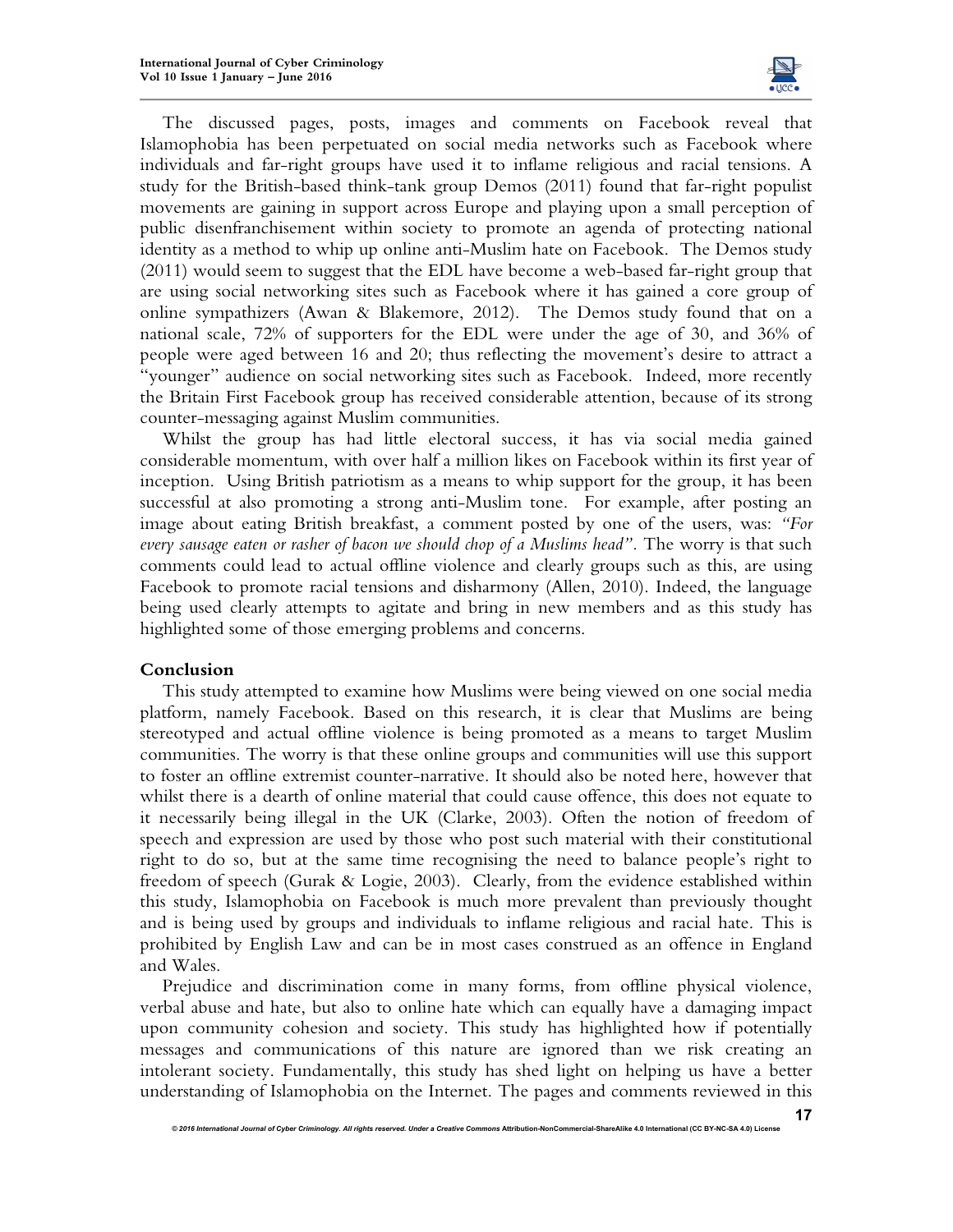

The discussed pages, posts, images and comments on Facebook reveal that Islamophobia has been perpetuated on social media networks such as Facebook where individuals and far-right groups have used it to inflame religious and racial tensions. A study for the British-based think-tank group Demos (2011) found that far-right populist movements are gaining in support across Europe and playing upon a small perception of public disenfranchisement within society to promote an agenda of protecting national identity as a method to whip up online anti-Muslim hate on Facebook. The Demos study (2011) would seem to suggest that the EDL have become a web-based far-right group that are using social networking sites such as Facebook where it has gained a core group of online sympathizers (Awan & Blakemore, 2012). The Demos study found that on a national scale, 72% of supporters for the EDL were under the age of 30, and 36% of people were aged between 16 and 20; thus reflecting the movement's desire to attract a "younger" audience on social networking sites such as Facebook. Indeed, more recently the Britain First Facebook group has received considerable attention, because of its strong counter-messaging against Muslim communities.

Whilst the group has had little electoral success, it has via social media gained considerable momentum, with over half a million likes on Facebook within its first year of inception. Using British patriotism as a means to whip support for the group, it has been successful at also promoting a strong anti-Muslim tone. For example, after posting an image about eating British breakfast, a comment posted by one of the users, was: *"For every sausage eaten or rasher of bacon we should chop of a Muslims head".* The worry is that such comments could lead to actual offline violence and clearly groups such as this, are using Facebook to promote racial tensions and disharmony (Allen, 2010). Indeed, the language being used clearly attempts to agitate and bring in new members and as this study has highlighted some of those emerging problems and concerns.

## **Conclusion**

This study attempted to examine how Muslims were being viewed on one social media platform, namely Facebook. Based on this research, it is clear that Muslims are being stereotyped and actual offline violence is being promoted as a means to target Muslim communities. The worry is that these online groups and communities will use this support to foster an offline extremist counter-narrative. It should also be noted here, however that whilst there is a dearth of online material that could cause offence, this does not equate to it necessarily being illegal in the UK (Clarke, 2003). Often the notion of freedom of speech and expression are used by those who post such material with their constitutional right to do so, but at the same time recognising the need to balance people's right to freedom of speech (Gurak & Logie, 2003). Clearly, from the evidence established within this study, Islamophobia on Facebook is much more prevalent than previously thought and is being used by groups and individuals to inflame religious and racial hate. This is prohibited by English Law and can be in most cases construed as an offence in England and Wales.

Prejudice and discrimination come in many forms, from offline physical violence, verbal abuse and hate, but also to online hate which can equally have a damaging impact upon community cohesion and society. This study has highlighted how if potentially messages and communications of this nature are ignored than we risk creating an intolerant society. Fundamentally, this study has shed light on helping us have a better understanding of Islamophobia on the Internet. The pages and comments reviewed in this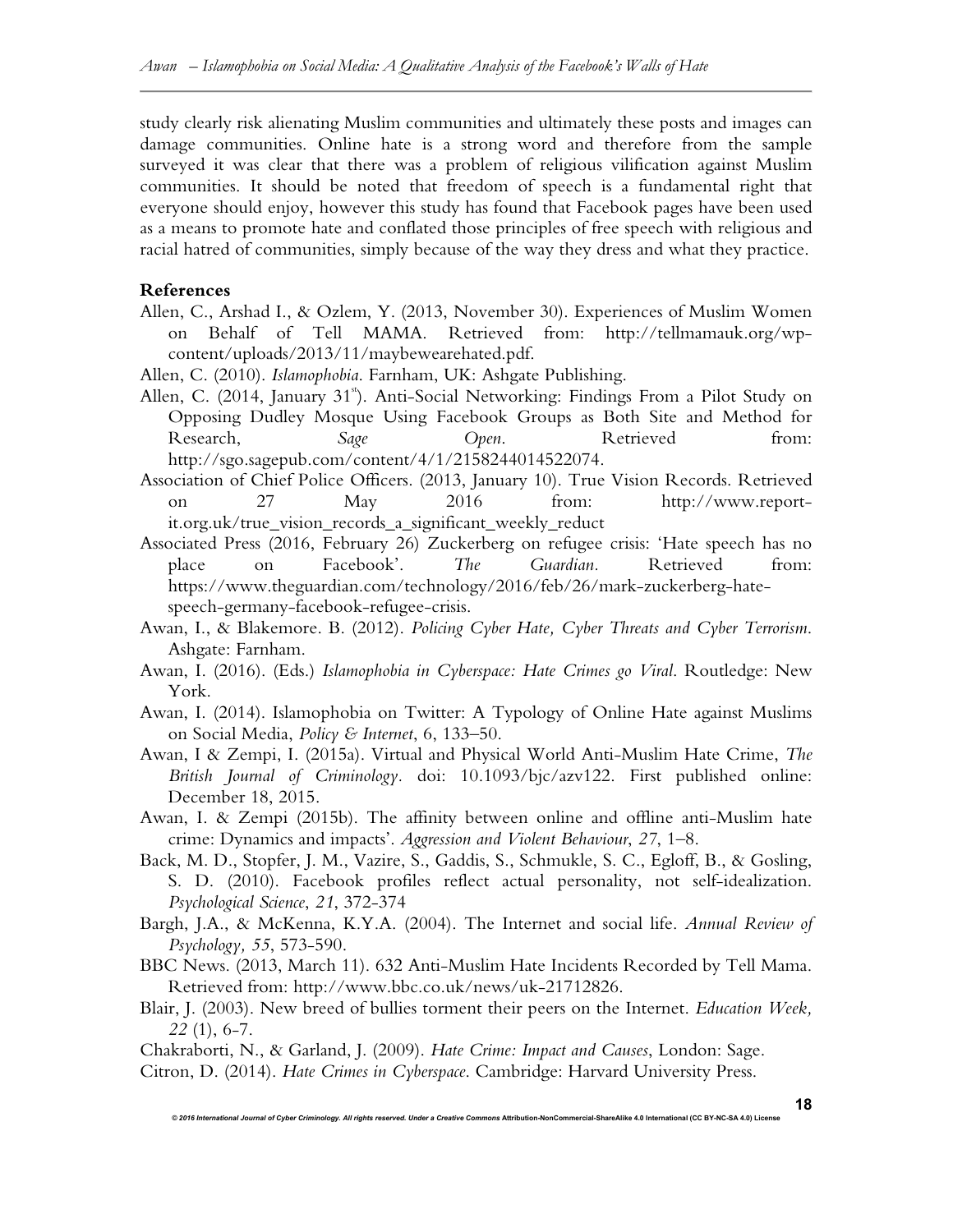study clearly risk alienating Muslim communities and ultimately these posts and images can damage communities. Online hate is a strong word and therefore from the sample surveyed it was clear that there was a problem of religious vilification against Muslim communities. It should be noted that freedom of speech is a fundamental right that everyone should enjoy, however this study has found that Facebook pages have been used as a means to promote hate and conflated those principles of free speech with religious and racial hatred of communities, simply because of the way they dress and what they practice.

## **References**

- Allen, C., Arshad I., & Ozlem, Y. (2013, November 30). Experiences of Muslim Women on Behalf of Tell MAMA. Retrieved from: http://tellmamauk.org/wpcontent/uploads/2013/11/maybewearehated.pdf.
- Allen, C. (2010). *Islamophobia*. Farnham, UK: Ashgate Publishing.
- Allen, C. (2014, January 31<sup>st</sup>). Anti-Social Networking: Findings From a Pilot Study on Opposing Dudley Mosque Using Facebook Groups as Both Site and Method for Research, *Sage Open*. Retrieved from: http://sgo.sagepub.com/content/4/1/2158244014522074.
- Association of Chief Police Officers. (2013, January 10). True Vision Records. Retrieved on 27 May 2016 from: http://www.reportit.org.uk/true\_vision\_records\_a\_significant\_weekly\_reduct
- Associated Press (2016, February 26) Zuckerberg on refugee crisis: 'Hate speech has no place on Facebook'. *The Guardian.* Retrieved from: https://www.theguardian.com/technology/2016/feb/26/mark-zuckerberg-hatespeech-germany-facebook-refugee-crisis.
- Awan, I., & Blakemore. B. (2012). *Policing Cyber Hate, Cyber Threats and Cyber Terrorism*. Ashgate: Farnham.
- Awan, I. (2016). (Eds.) *Islamophobia in Cyberspace: Hate Crimes go Viral*. Routledge: New York.
- Awan, I. (2014). Islamophobia on Twitter: A Typology of Online Hate against Muslims on Social Media, *Policy & Internet*, 6, 133–50.
- Awan, I & Zempi, I. (2015a). Virtual and Physical World Anti-Muslim Hate Crime, *The British Journal of Criminology.* doi: 10.1093/bjc/azv122. First published online: December 18, 2015.
- Awan, I. & Zempi (2015b). The affinity between online and offline anti-Muslim hate crime: Dynamics and impacts'. *Aggression and Violent Behaviour*, *27*, 1–8.
- Back, M. D., Stopfer, J. M., Vazire, S., Gaddis, S., Schmukle, S. C., Egloff, B., & Gosling, S. D. (2010). Facebook profiles reflect actual personality, not self-idealization. *Psychological Science*, *21*, 372-374
- Bargh, J.A., & McKenna, K.Y.A. (2004). The Internet and social life. *Annual Review of Psychology, 55*, 573-590.
- BBC News. (2013, March 11). 632 Anti-Muslim Hate Incidents Recorded by Tell Mama. Retrieved from: http://www.bbc.co.uk/news/uk-21712826.
- Blair, J. (2003). New breed of bullies torment their peers on the Internet. *Education Week, 22* (1), 6-7.

Chakraborti, N., & Garland, J. (2009). *Hate Crime: Impact and Causes*, London: Sage. Citron, D. (2014). *Hate Crimes in Cyberspace*. Cambridge: Harvard University Press.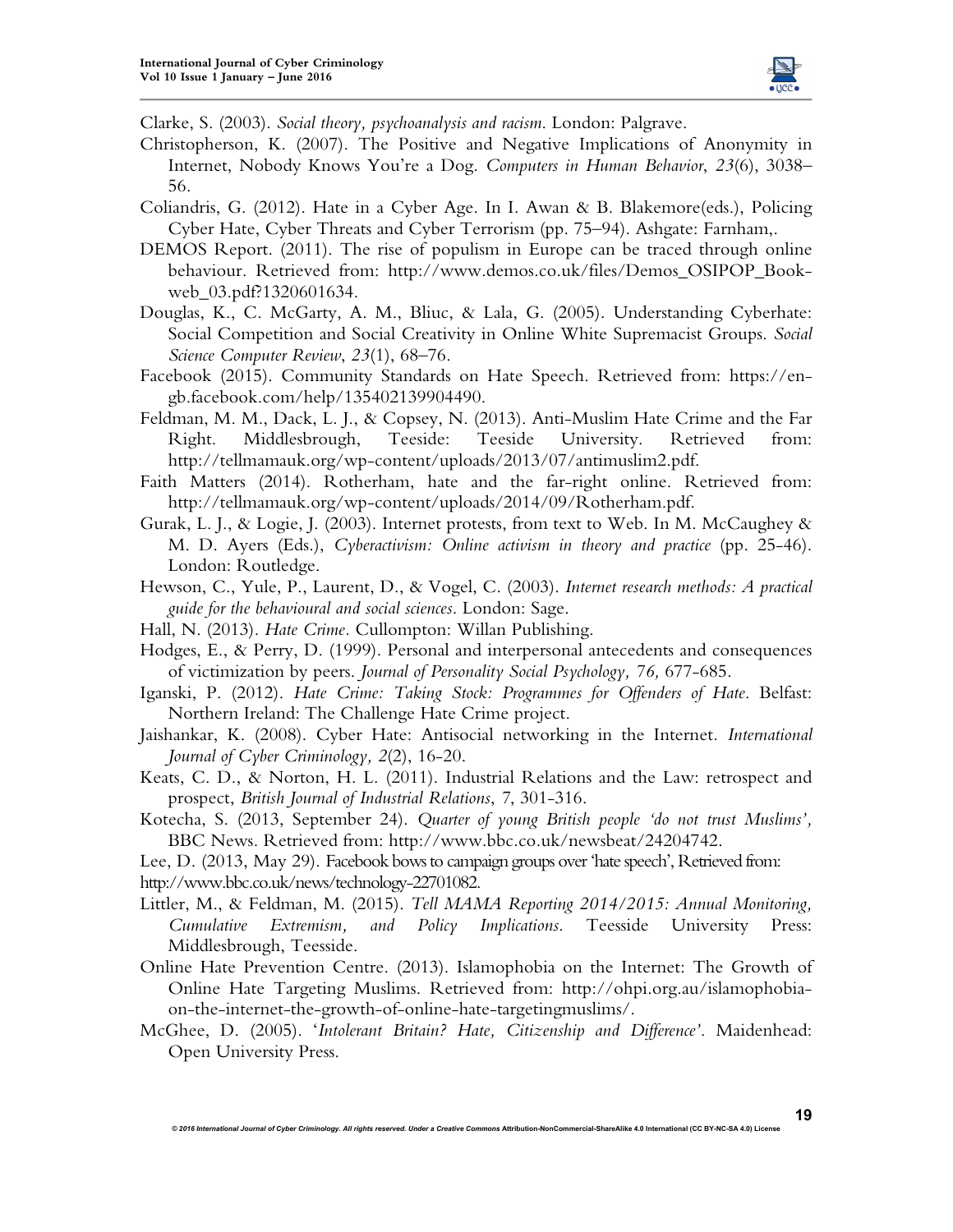

**19**

Clarke, S. (2003). *Social theory, psychoanalysis and racism*. London: Palgrave.

- Christopherson, K. (2007). The Positive and Negative Implications of Anonymity in Internet, Nobody Knows You're a Dog. *Computers in Human Behavior*, *23*(6), 3038– 56.
- Coliandris, G. (2012). Hate in a Cyber Age. In I. Awan & B. Blakemore(eds.), Policing Cyber Hate, Cyber Threats and Cyber Terrorism (pp. 75–94). Ashgate: Farnham,.
- DEMOS Report. (2011). The rise of populism in Europe can be traced through online behaviour. Retrieved from: http://www.demos.co.uk/files/Demos\_OSIPOP\_Bookweb\_03.pdf?1320601634.
- Douglas, K., C. McGarty, A. M., Bliuc, & Lala, G. (2005). Understanding Cyberhate: Social Competition and Social Creativity in Online White Supremacist Groups. *Social Science Computer Review*, *23*(1), 68–76.
- Facebook (2015). Community Standards on Hate Speech. Retrieved from: https://engb.facebook.com/help/135402139904490.
- Feldman, M. M., Dack, L. J., & Copsey, N. (2013). Anti-Muslim Hate Crime and the Far Right. Middlesbrough, Teeside: Teeside University. Retrieved from: http://tellmamauk.org/wp-content/uploads/2013/07/antimuslim2.pdf.
- Faith Matters (2014). Rotherham, hate and the far-right online. Retrieved from: http://tellmamauk.org/wp-content/uploads/2014/09/Rotherham.pdf.
- Gurak, L. J., & Logie, J. (2003). Internet protests, from text to Web. In M. McCaughey  $\&$ M. D. Ayers (Eds.), *Cyberactivism: Online activism in theory and practice* (pp. 25-46). London: Routledge.
- Hewson, C., Yule, P., Laurent, D., & Vogel, C. (2003). *Internet research methods: A practical guide for the behavioural and social sciences*. London: Sage.
- Hall, N. (2013). *Hate Crime.* Cullompton: Willan Publishing.
- Hodges, E., & Perry, D. (1999). Personal and interpersonal antecedents and consequences of victimization by peers. *Journal of Personality Social Psychology, 76,* 677-685.
- Iganski, P. (2012). *Hate Crime: Taking Stock: Programmes for Offenders of Hate*. Belfast: Northern Ireland: The Challenge Hate Crime project.
- Jaishankar, K. (2008). Cyber Hate: Antisocial networking in the Internet*. International Journal of Cyber Criminology, 2*(2), 16-20.
- Keats, C. D., & Norton, H. L. (2011). Industrial Relations and the Law: retrospect and prospect, *British Journal of Industrial Relations*, *7*, 301-316.
- Kotecha, S. (2013, September 24). *Quarter of young British people 'do not trust Muslims',* BBC News. Retrieved from: http://www.bbc.co.uk/newsbeat/24204742.
- Lee, D. (2013, May 29). Facebook bows to campaign groups over 'hate speech', Retrieved from:
- http://www.bbc.co.uk/news/technology-22701082.
- Littler, M., & Feldman, M. (2015). *Tell MAMA Reporting 2014/2015: Annual Monitoring, Cumulative Extremism, and Policy Implications*. Teesside University Press: Middlesbrough, Teesside.
- Online Hate Prevention Centre. (2013). Islamophobia on the Internet: The Growth of Online Hate Targeting Muslims. Retrieved from: http://ohpi.org.au/islamophobiaon-the-internet-the-growth-of-online-hate-targetingmuslims/.
- McGhee, D. (2005). '*Intolerant Britain? Hate, Citizenship and Difference'*. Maidenhead: Open University Press.